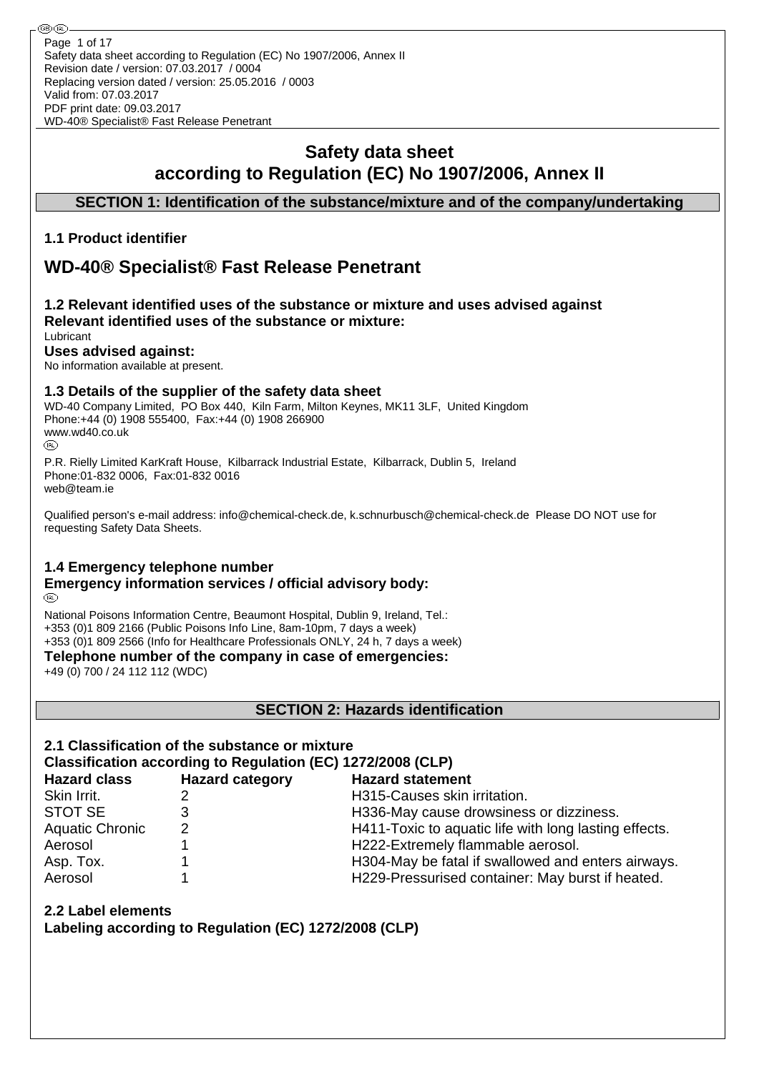⊛® Page 1 of 17Safety data sheet according to Regulation (EC) No 1907/2006, Annex II Revision date / version: 07.03.2017 / 0004 Replacing version dated / version: 25.05.2016 / 0003 Valid from: 07.03.2017 PDF print date: 09.03.2017 WD-40® Specialist® Fast Release Penetrant

# **Safety data sheet according to Regulation (EC) No 1907/2006, Annex II**

## **SECTION 1: Identification of the substance/mixture and of the company/undertaking**

## **1.1 Product identifier**

# **WD-40® Specialist® Fast Release Penetrant**

#### **1.2 Relevant identified uses of the substance or mixture and uses advised against Relevant identified uses of the substance or mixture:** Lubricant

# **Uses advised against:**

No information available at present.

#### **1.3 Details of the supplier of the safety data sheet**

WD-40 Company Limited, PO Box 440, Kiln Farm, Milton Keynes, MK11 3LF, United Kingdom Phone:+44 (0) 1908 555400, Fax:+44 (0) 1908 266900 www.wd40.co.uk (RD)

P.R. Rielly Limited KarKraft House, Kilbarrack Industrial Estate, Kilbarrack, Dublin 5, Ireland Phone:01-832 0006, Fax:01-832 0016 web@team.ie

Qualified person's e-mail address: info@chemical-check.de, k.schnurbusch@chemical-check.de Please DO NOT use for requesting Safety Data Sheets.

## **1.4 Emergency telephone number**

#### **Emergency information services / official advisory body:** (RD)

National Poisons Information Centre, Beaumont Hospital, Dublin 9, Ireland, Tel.: +353 (0)1 809 2166 (Public Poisons Info Line, 8am-10pm, 7 days a week) +353 (0)1 809 2566 (Info for Healthcare Professionals ONLY, 24 h, 7 days a week)

**Telephone number of the company in case of emergencies:**

+49 (0) 700 / 24 112 112 (WDC)

**SECTION 2: Hazards identification**

# **2.1 Classification of the substance or mixture**

## **Classification according to Regulation (EC) 1272/2008 (CLP)**

| <b>Hazard class</b>    | <b>Hazard category</b> | <b>Hazard statement</b>                               |
|------------------------|------------------------|-------------------------------------------------------|
| Skin Irrit.            |                        | H315-Causes skin irritation.                          |
| STOT SE                |                        | H336-May cause drowsiness or dizziness.               |
| <b>Aquatic Chronic</b> | 2                      | H411-Toxic to aquatic life with long lasting effects. |
| Aerosol                |                        | H222-Extremely flammable aerosol.                     |
| Asp. Tox.              |                        | H304-May be fatal if swallowed and enters airways.    |
| Aerosol                |                        | H229-Pressurised container: May burst if heated.      |

## **2.2 Label elements**

**Labeling according to Regulation (EC) 1272/2008 (CLP)**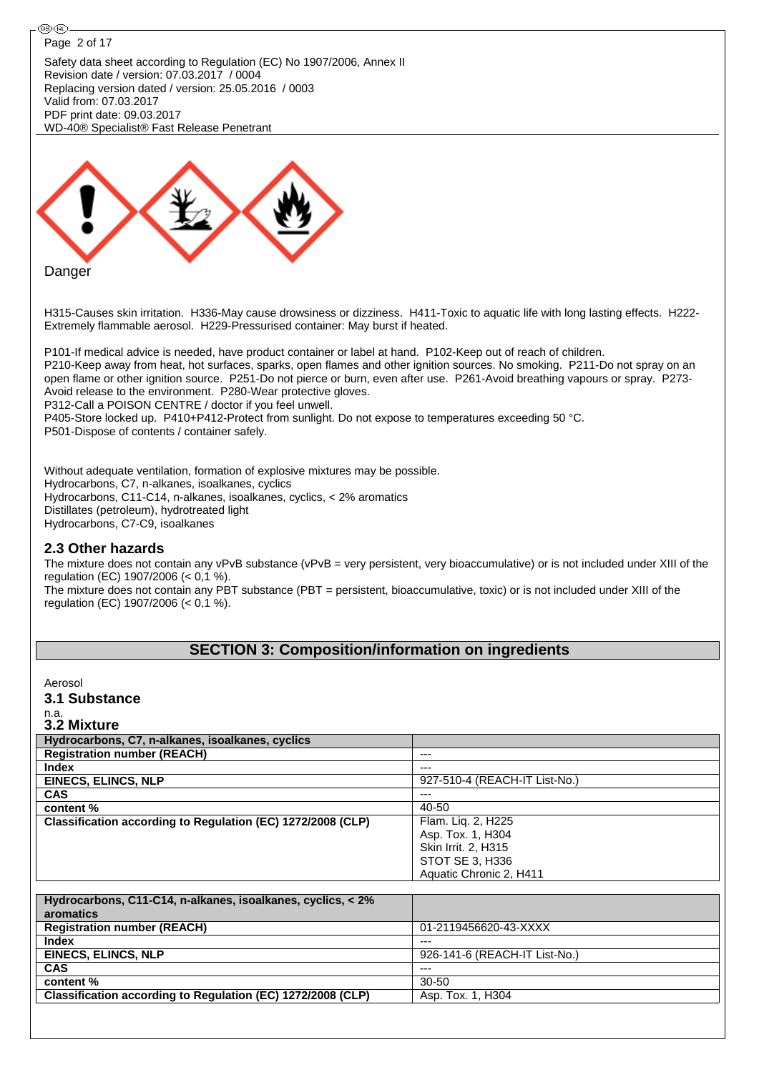

| Aquatic Chronic 2, H411                                     |                               |  |  |  |  |
|-------------------------------------------------------------|-------------------------------|--|--|--|--|
|                                                             |                               |  |  |  |  |
| Hydrocarbons, C11-C14, n-alkanes, isoalkanes, cyclics, < 2% |                               |  |  |  |  |
| aromatics                                                   |                               |  |  |  |  |
| <b>Registration number (REACH)</b>                          | 01-2119456620-43-XXXX         |  |  |  |  |
| <b>Index</b>                                                | $---$                         |  |  |  |  |
| <b>EINECS, ELINCS, NLP</b>                                  | 926-141-6 (REACH-IT List-No.) |  |  |  |  |
| <b>CAS</b>                                                  | $---$                         |  |  |  |  |
| content %                                                   | 30-50                         |  |  |  |  |
| Classification according to Regulation (EC) 1272/2008 (CLP) | Asp. Tox. 1, H304             |  |  |  |  |
|                                                             |                               |  |  |  |  |

STOT SE 3, H336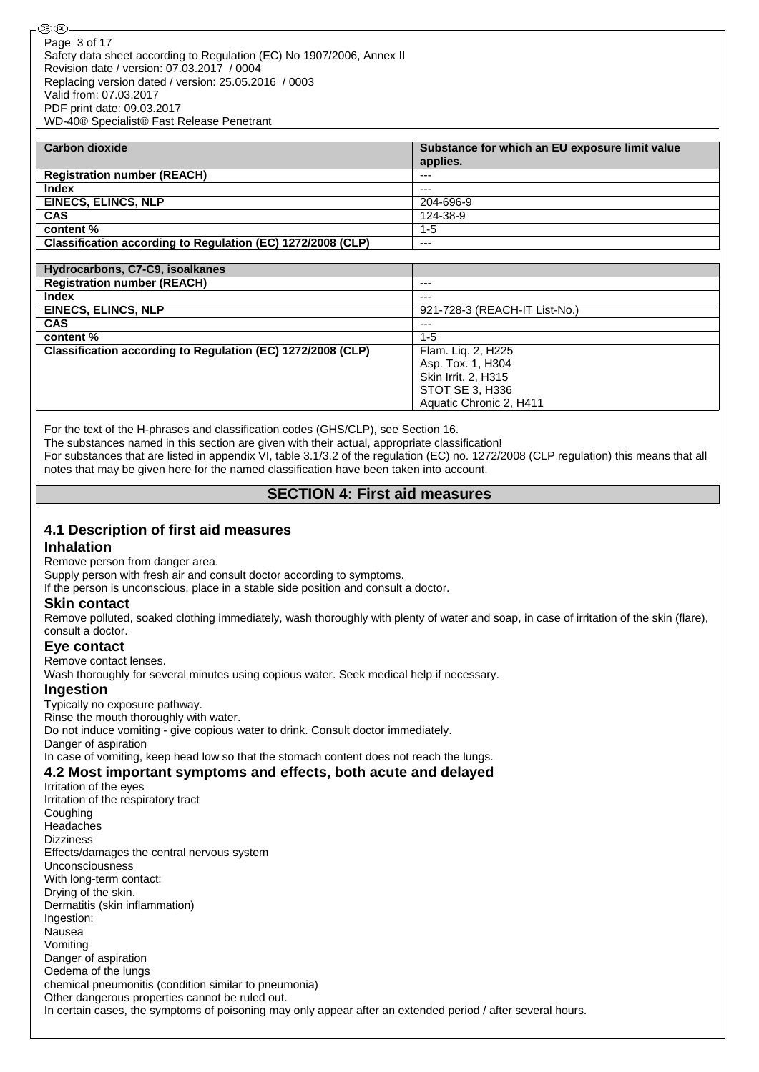| <b>Carbon dioxide</b>                                       | Substance for which an EU exposure limit value |
|-------------------------------------------------------------|------------------------------------------------|
|                                                             | applies.                                       |
| <b>Registration number (REACH)</b>                          | $- - -$                                        |
| <b>Index</b>                                                | $---$                                          |
| <b>EINECS, ELINCS, NLP</b>                                  | 204-696-9                                      |
| <b>CAS</b>                                                  | 124-38-9                                       |
| content %                                                   | $1 - 5$                                        |
| Classification according to Regulation (EC) 1272/2008 (CLP) | $- - -$                                        |

| Hydrocarbons, C7-C9, isoalkanes                             |                               |
|-------------------------------------------------------------|-------------------------------|
| <b>Registration number (REACH)</b>                          | ---                           |
| <b>Index</b>                                                | $---$                         |
| <b>EINECS, ELINCS, NLP</b>                                  | 921-728-3 (REACH-IT List-No.) |
| <b>CAS</b>                                                  | ---                           |
| content %                                                   | $1 - 5$                       |
| Classification according to Regulation (EC) 1272/2008 (CLP) | Flam. Liq. 2, H225            |
|                                                             | Asp. Tox. 1, H304             |
|                                                             | Skin Irrit. 2, H315           |
|                                                             | STOT SE 3, H336               |
|                                                             | Aquatic Chronic 2, H411       |

For the text of the H-phrases and classification codes (GHS/CLP), see Section 16.

The substances named in this section are given with their actual, appropriate classification!

For substances that are listed in appendix VI, table 3.1/3.2 of the regulation (EC) no. 1272/2008 (CLP regulation) this means that all notes that may be given here for the named classification have been taken into account.

## **SECTION 4: First aid measures**

# **4.1 Description of first aid measures**

#### **Inhalation**

Remove person from danger area.

Supply person with fresh air and consult doctor according to symptoms.

If the person is unconscious, place in a stable side position and consult a doctor.

#### **Skin contact**

Remove polluted, soaked clothing immediately, wash thoroughly with plenty of water and soap, in case of irritation of the skin (flare), consult a doctor.

#### **Eye contact**

Remove contact lenses.

Wash thoroughly for several minutes using copious water. Seek medical help if necessary.

#### **Ingestion**

Typically no exposure pathway. Rinse the mouth thoroughly with water. Do not induce vomiting - give copious water to drink. Consult doctor immediately. Danger of aspiration In case of vomiting, keep head low so that the stomach content does not reach the lungs.

# **4.2 Most important symptoms and effects, both acute and delayed**

Irritation of the eyes Irritation of the respiratory tract Coughing Headaches Dizziness Effects/damages the central nervous system Unconsciousness With long-term contact: Drying of the skin. Dermatitis (skin inflammation) Ingestion: Nausea Vomiting Danger of aspiration Oedema of the lungs chemical pneumonitis (condition similar to pneumonia) Other dangerous properties cannot be ruled out. In certain cases, the symptoms of poisoning may only appear after an extended period / after several hours.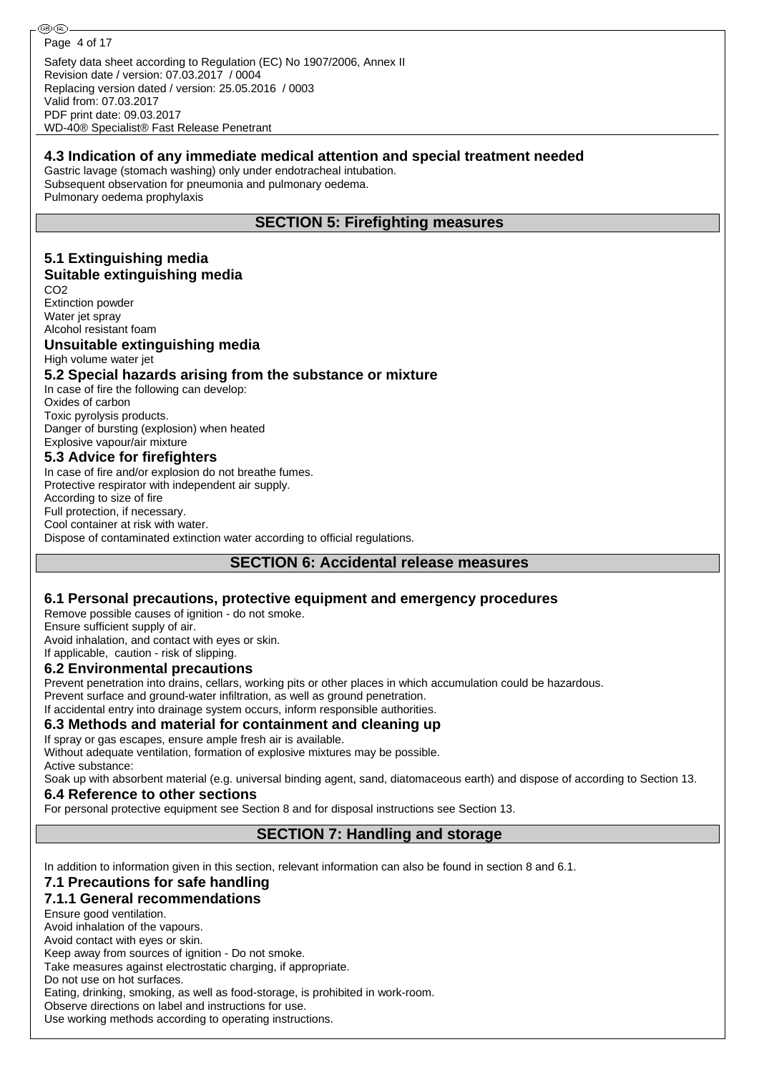Safety data sheet according to Regulation (EC) No 1907/2006, Annex II Revision date / version: 07.03.2017 / 0004 Replacing version dated / version: 25.05.2016 / 0003 Valid from: 07.03.2017 PDF print date: 09.03.2017 Page 4 of 17

WD-40® Specialist® Fast Release Penetrant

#### **4.3 Indication of any immediate medical attention and special treatment needed**

Gastric lavage (stomach washing) only under endotracheal intubation. Subsequent observation for pneumonia and pulmonary oedema. Pulmonary oedema prophylaxis

## **SECTION 5: Firefighting measures**

#### **5.1 Extinguishing media Suitable extinguishing media**

CO2 Extinction powder Water jet spray Alcohol resistant foam

#### **Unsuitable extinguishing media**

High volume water jet

#### **5.2 Special hazards arising from the substance or mixture**

In case of fire the following can develop: Oxides of carbon Toxic pyrolysis products. Danger of bursting (explosion) when heated Explosive vapour/air mixture

## **5.3 Advice for firefighters**

In case of fire and/or explosion do not breathe fumes. Protective respirator with independent air supply. According to size of fire Full protection, if necessary. Cool container at risk with water. Dispose of contaminated extinction water according to official regulations.

## **SECTION 6: Accidental release measures**

#### **6.1 Personal precautions, protective equipment and emergency procedures**

Remove possible causes of ignition - do not smoke.

Ensure sufficient supply of air.

Avoid inhalation, and contact with eyes or skin.

If applicable, caution - risk of slipping.

#### **6.2 Environmental precautions**

Prevent penetration into drains, cellars, working pits or other places in which accumulation could be hazardous.

Prevent surface and ground-water infiltration, as well as ground penetration.

If accidental entry into drainage system occurs, inform responsible authorities.

## **6.3 Methods and material for containment and cleaning up**

If spray or gas escapes, ensure ample fresh air is available.

Without adequate ventilation, formation of explosive mixtures may be possible. Active substance:

Soak up with absorbent material (e.g. universal binding agent, sand, diatomaceous earth) and dispose of according to Section 13.

#### **6.4 Reference to other sections**

For personal protective equipment see Section 8 and for disposal instructions see Section 13.

## **SECTION 7: Handling and storage**

In addition to information given in this section, relevant information can also be found in section 8 and 6.1.

## **7.1 Precautions for safe handling**

## **7.1.1 General recommendations**

Ensure good ventilation.

Avoid inhalation of the vapours.

Avoid contact with eyes or skin.

Keep away from sources of ignition - Do not smoke.

Take measures against electrostatic charging, if appropriate. Do not use on hot surfaces.

Eating, drinking, smoking, as well as food-storage, is prohibited in work-room.

Observe directions on label and instructions for use.

Use working methods according to operating instructions.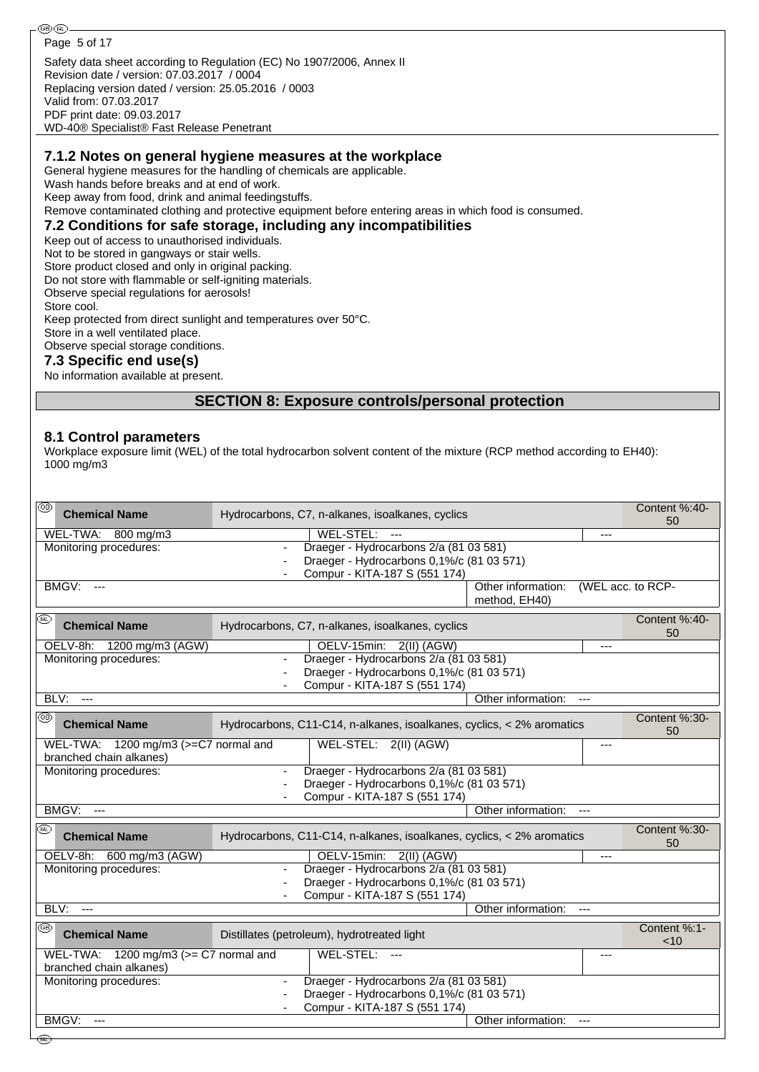**®®** Page 5 of 17Safety data sheet according to Regulation (EC) No 1907/2006, Annex II Revision date / version: 07.03.2017 / 0004 Replacing version dated / version: 25.05.2016 / 0003 Valid from: 07.03.2017 PDF print date: 09.03.2017 WD-40® Specialist® Fast Release Penetrant **7.1.2 Notes on general hygiene measures at the workplace** General hygiene measures for the handling of chemicals are applicable. Wash hands before breaks and at end of work. Keep away from food, drink and animal feedingstuffs. Remove contaminated clothing and protective equipment before entering areas in which food is consumed. **7.2 Conditions for safe storage, including any incompatibilities** Keep out of access to unauthorised individuals. Not to be stored in gangways or stair wells. Store product closed and only in original packing. Do not store with flammable or self-igniting materials. Observe special regulations for aerosols! Store cool.

Keep protected from direct sunlight and temperatures over 50°C. Store in a well ventilated place. Observe special storage conditions.

#### **7.3 Specific end use(s)**

No information available at present.

## **SECTION 8: Exposure controls/personal protection**

#### **8.1 Control parameters**

Workplace exposure limit (WEL) of the total hydrocarbon solvent content of the mixture (RCP method according to EH40): 1000 mg/m3

| ☜<br><b>Chemical Name</b>                                             | Hydrocarbons, C7, n-alkanes, isoalkanes, cyclics                           |                                     | Content %:40-<br>50 |
|-----------------------------------------------------------------------|----------------------------------------------------------------------------|-------------------------------------|---------------------|
| WEL-TWA: 800 mg/m3                                                    | WEL-STEL: ---                                                              |                                     |                     |
| Monitoring procedures:                                                | Draeger - Hydrocarbons 2/a (81 03 581)<br>$\blacksquare$                   |                                     |                     |
|                                                                       | Draeger - Hydrocarbons 0,1%/c (81 03 571)<br>Compur - KITA-187 S (551 174) |                                     |                     |
| <b>BMGV: ---</b>                                                      |                                                                            | Other information:<br>method, EH40) | (WEL acc. to RCP-   |
| ⊛<br><b>Chemical Name</b>                                             | Hydrocarbons, C7, n-alkanes, isoalkanes, cyclics                           |                                     | Content %:40-<br>50 |
| OELV-8h: 1200 mg/m3 (AGW)                                             | OELV-15min: 2(II) (AGW)                                                    |                                     | $---$               |
| Monitoring procedures:                                                | Draeger - Hydrocarbons 2/a (81 03 581)                                     |                                     |                     |
|                                                                       | Draeger - Hydrocarbons 0,1%/c (81 03 571)<br>Compur - KITA-187 S (551 174) |                                     |                     |
| BLV:<br>$\qquad \qquad -1$                                            |                                                                            | Other information:<br>$\cdots$      |                     |
| ை<br><b>Chemical Name</b>                                             | Hydrocarbons, C11-C14, n-alkanes, isoalkanes, cyclics, < 2% aromatics      |                                     | Content %:30-<br>50 |
| WEL-TWA: 1200 mg/m3 (>=C7 normal and                                  | WEL-STEL: 2(II) (AGW)                                                      |                                     | ---                 |
| branched chain alkanes)                                               |                                                                            |                                     |                     |
| Monitoring procedures:                                                | Draeger - Hydrocarbons 2/a (81 03 581)                                     |                                     |                     |
|                                                                       | Draeger - Hydrocarbons 0,1%/c (81 03 571)<br>Compur - KITA-187 S (551 174) |                                     |                     |
| BMGV:<br>$---$                                                        |                                                                            | Other information:<br>$---$         |                     |
|                                                                       |                                                                            |                                     | Content %:30-       |
| ⅏<br><b>Chemical Name</b>                                             | Hydrocarbons, C11-C14, n-alkanes, isoalkanes, cyclics, < 2% aromatics      |                                     | 50                  |
| OELV-8h: 600 mg/m3 (AGW)                                              | OELV-15min: 2(II) (AGW)                                                    |                                     | ---                 |
| Monitoring procedures:                                                | Draeger - Hydrocarbons 2/a (81 03 581)<br>$\blacksquare$                   |                                     |                     |
|                                                                       | Draeger - Hydrocarbons 0,1%/c (81 03 571)<br>Compur - KITA-187 S (551 174) |                                     |                     |
| BLV:<br>$\overline{a}$                                                |                                                                            | Other information:<br>$---$         |                     |
| ®                                                                     |                                                                            |                                     | Content %:1-        |
| <b>Chemical Name</b>                                                  | Distillates (petroleum), hydrotreated light                                |                                     | < 10                |
| WEL-TWA: $1200$ mg/m3 ( $>=$ C7 normal and<br>branched chain alkanes) | WEL-STEL: ---                                                              |                                     | ---                 |
| Monitoring procedures:                                                | Draeger - Hydrocarbons 2/a (81 03 581)                                     |                                     |                     |
|                                                                       | Draeger - Hydrocarbons 0,1%/c (81 03 571)                                  |                                     |                     |
|                                                                       | Compur - KITA-187 S (551 174)                                              |                                     |                     |
| BMGV:<br>$---$                                                        |                                                                            | Other information:<br>$\cdots$      |                     |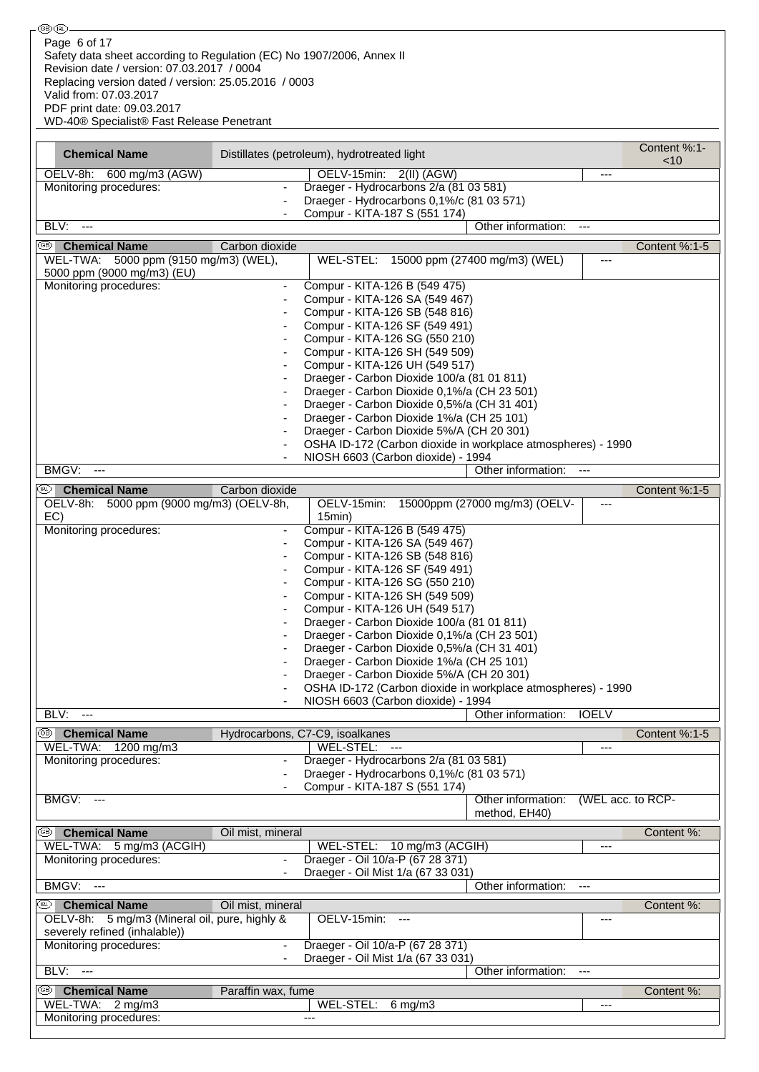| ை (ொலை-                                                                                                                                                                                                                                                                                          |                          |                                                                                                    |                                     |                   |               |
|--------------------------------------------------------------------------------------------------------------------------------------------------------------------------------------------------------------------------------------------------------------------------------------------------|--------------------------|----------------------------------------------------------------------------------------------------|-------------------------------------|-------------------|---------------|
| Page 6 of 17<br>Safety data sheet according to Regulation (EC) No 1907/2006, Annex II<br>Revision date / version: 07.03.2017 / 0004<br>Replacing version dated / version: 25.05.2016 / 0003<br>Valid from: 07.03.2017<br>PDF print date: 09.03.2017<br>WD-40® Specialist® Fast Release Penetrant |                          |                                                                                                    |                                     |                   |               |
|                                                                                                                                                                                                                                                                                                  |                          |                                                                                                    |                                     |                   | Content %:1-  |
| <b>Chemical Name</b>                                                                                                                                                                                                                                                                             |                          | Distillates (petroleum), hydrotreated light                                                        |                                     |                   | $<$ 10        |
| OELV-8h: 600 mg/m3 (AGW)                                                                                                                                                                                                                                                                         |                          | OELV-15min: 2(II) (AGW)                                                                            |                                     | $---$             |               |
| Monitoring procedures:                                                                                                                                                                                                                                                                           |                          | Draeger - Hydrocarbons 2/a (81 03 581)<br>Draeger - Hydrocarbons 0,1%/c (81 03 571)                |                                     |                   |               |
|                                                                                                                                                                                                                                                                                                  |                          | Compur - KITA-187 S (551 174)                                                                      |                                     |                   |               |
| BLV:<br>$\overline{\phantom{a}}$                                                                                                                                                                                                                                                                 |                          |                                                                                                    | Other information:                  | $\overline{a}$    |               |
| ை<br><b>Chemical Name</b>                                                                                                                                                                                                                                                                        | Carbon dioxide           |                                                                                                    |                                     |                   | Content %:1-5 |
| WEL-TWA: 5000 ppm (9150 mg/m3) (WEL),<br>5000 ppm (9000 mg/m3) (EU)                                                                                                                                                                                                                              |                          | WEL-STEL: 15000 ppm (27400 mg/m3) (WEL)                                                            |                                     | ---               |               |
| Monitoring procedures:                                                                                                                                                                                                                                                                           | $\overline{\phantom{a}}$ | Compur - KITA-126 B (549 475)                                                                      |                                     |                   |               |
|                                                                                                                                                                                                                                                                                                  |                          | Compur - KITA-126 SA (549 467)<br>Compur - KITA-126 SB (548 816)                                   |                                     |                   |               |
|                                                                                                                                                                                                                                                                                                  |                          | Compur - KITA-126 SF (549 491)                                                                     |                                     |                   |               |
|                                                                                                                                                                                                                                                                                                  |                          | Compur - KITA-126 SG (550 210)<br>Compur - KITA-126 SH (549 509)                                   |                                     |                   |               |
|                                                                                                                                                                                                                                                                                                  |                          | Compur - KITA-126 UH (549 517)                                                                     |                                     |                   |               |
|                                                                                                                                                                                                                                                                                                  |                          | Draeger - Carbon Dioxide 100/a (81 01 811)                                                         |                                     |                   |               |
|                                                                                                                                                                                                                                                                                                  |                          | Draeger - Carbon Dioxide 0,1%/a (CH 23 501)<br>Draeger - Carbon Dioxide 0,5%/a (CH 31 401)         |                                     |                   |               |
|                                                                                                                                                                                                                                                                                                  |                          | Draeger - Carbon Dioxide 1%/a (CH 25 101)                                                          |                                     |                   |               |
|                                                                                                                                                                                                                                                                                                  |                          | Draeger - Carbon Dioxide 5%/A (CH 20 301)                                                          |                                     |                   |               |
|                                                                                                                                                                                                                                                                                                  |                          | OSHA ID-172 (Carbon dioxide in workplace atmospheres) - 1990<br>NIOSH 6603 (Carbon dioxide) - 1994 |                                     |                   |               |
| BMGV:<br>---                                                                                                                                                                                                                                                                                     |                          |                                                                                                    | Other information:                  | $\overline{a}$    |               |
| œ)<br><b>Chemical Name</b>                                                                                                                                                                                                                                                                       | Carbon dioxide           |                                                                                                    |                                     |                   | Content %:1-5 |
| OELV-8h: 5000 ppm (9000 mg/m3) (OELV-8h,                                                                                                                                                                                                                                                         |                          | OELV-15min: 15000ppm (27000 mg/m3) (OELV-                                                          |                                     | $---$             |               |
| EC)<br>Monitoring procedures:                                                                                                                                                                                                                                                                    |                          | 15min)<br>Compur - KITA-126 B (549 475)                                                            |                                     |                   |               |
|                                                                                                                                                                                                                                                                                                  |                          | Compur - KITA-126 SA (549 467)                                                                     |                                     |                   |               |
|                                                                                                                                                                                                                                                                                                  |                          | Compur - KITA-126 SB (548 816)                                                                     |                                     |                   |               |
|                                                                                                                                                                                                                                                                                                  |                          | Compur - KITA-126 SF (549 491)<br>Compur - KITA-126 SG (550 210)                                   |                                     |                   |               |
|                                                                                                                                                                                                                                                                                                  |                          | Compur - KITA-126 SH (549 509)                                                                     |                                     |                   |               |
|                                                                                                                                                                                                                                                                                                  |                          | Compur - KITA-126 UH (549 517)<br>Draeger - Carbon Dioxide 100/a (81 01 811)                       |                                     |                   |               |
|                                                                                                                                                                                                                                                                                                  |                          | Draeger - Carbon Dioxide 0,1%/a (CH 23 501)                                                        |                                     |                   |               |
|                                                                                                                                                                                                                                                                                                  |                          | Draeger - Carbon Dioxide 0,5%/a (CH 31 401)                                                        |                                     |                   |               |
|                                                                                                                                                                                                                                                                                                  |                          | Draeger - Carbon Dioxide 1%/a (CH 25 101)<br>Draeger - Carbon Dioxide 5%/A (CH 20 301)             |                                     |                   |               |
|                                                                                                                                                                                                                                                                                                  |                          | OSHA ID-172 (Carbon dioxide in workplace atmospheres) - 1990                                       |                                     |                   |               |
|                                                                                                                                                                                                                                                                                                  |                          | NIOSH 6603 (Carbon dioxide) - 1994                                                                 |                                     |                   |               |
| BLV:<br>$- - -$                                                                                                                                                                                                                                                                                  |                          |                                                                                                    | Other information:                  | <b>IOELV</b>      |               |
| <sup>38</sup> Chemical Name<br>WEL-TWA: 1200 mg/m3                                                                                                                                                                                                                                               |                          | Hydrocarbons, C7-C9, isoalkanes<br>WEL-STEL: ---                                                   |                                     | $---$             | Content %:1-5 |
| Monitoring procedures:                                                                                                                                                                                                                                                                           |                          | Draeger - Hydrocarbons 2/a (81 03 581)                                                             |                                     |                   |               |
|                                                                                                                                                                                                                                                                                                  |                          | Draeger - Hydrocarbons 0,1%/c (81 03 571)<br>Compur - KITA-187 S (551 174)                         |                                     |                   |               |
| <b>BMGV: ---</b>                                                                                                                                                                                                                                                                                 |                          |                                                                                                    | Other information:<br>method, EH40) | (WEL acc. to RCP- |               |
| <sup>39</sup> Chemical Name                                                                                                                                                                                                                                                                      | Oil mist, mineral        |                                                                                                    |                                     |                   | Content %:    |
| WEL-TWA: 5 mg/m3 (ACGIH)<br>Monitoring procedures:                                                                                                                                                                                                                                               | $\overline{\phantom{a}}$ | WEL-STEL: 10 mg/m3 (ACGIH)<br>Draeger - Oil 10/a-P (67 28 371)                                     |                                     | $\cdots$          |               |
|                                                                                                                                                                                                                                                                                                  |                          | Draeger - Oil Mist 1/a (67 33 031)                                                                 |                                     |                   |               |
| BMGV:<br>$\overline{a}$                                                                                                                                                                                                                                                                          |                          |                                                                                                    | Other information:                  | $---$             |               |
| (RL)<br><b>Chemical Name</b>                                                                                                                                                                                                                                                                     | Oil mist, mineral        |                                                                                                    |                                     |                   | Content %:    |
| OELV-8h: 5 mg/m3 (Mineral oil, pure, highly &                                                                                                                                                                                                                                                    |                          | OELV-15min: ---                                                                                    |                                     | $---$             |               |
| severely refined (inhalable))<br>Monitoring procedures:                                                                                                                                                                                                                                          | $\overline{\phantom{a}}$ | Draeger - Oil 10/a-P (67 28 371)                                                                   |                                     |                   |               |
|                                                                                                                                                                                                                                                                                                  |                          | Draeger - Oil Mist 1/a (67 33 031)                                                                 |                                     |                   |               |
| BLV: ---                                                                                                                                                                                                                                                                                         |                          |                                                                                                    | Other information:                  | ----              |               |
| ®∣<br><b>Chemical Name</b>                                                                                                                                                                                                                                                                       | Paraffin wax, fume       |                                                                                                    |                                     |                   | Content %:    |
| WEL-TWA: 2 mg/m3<br>Monitoring procedures:                                                                                                                                                                                                                                                       |                          | WEL-STEL:<br>$6 \,\mathrm{mg/m3}$<br>$---$                                                         |                                     | $---$             |               |
|                                                                                                                                                                                                                                                                                                  |                          |                                                                                                    |                                     |                   |               |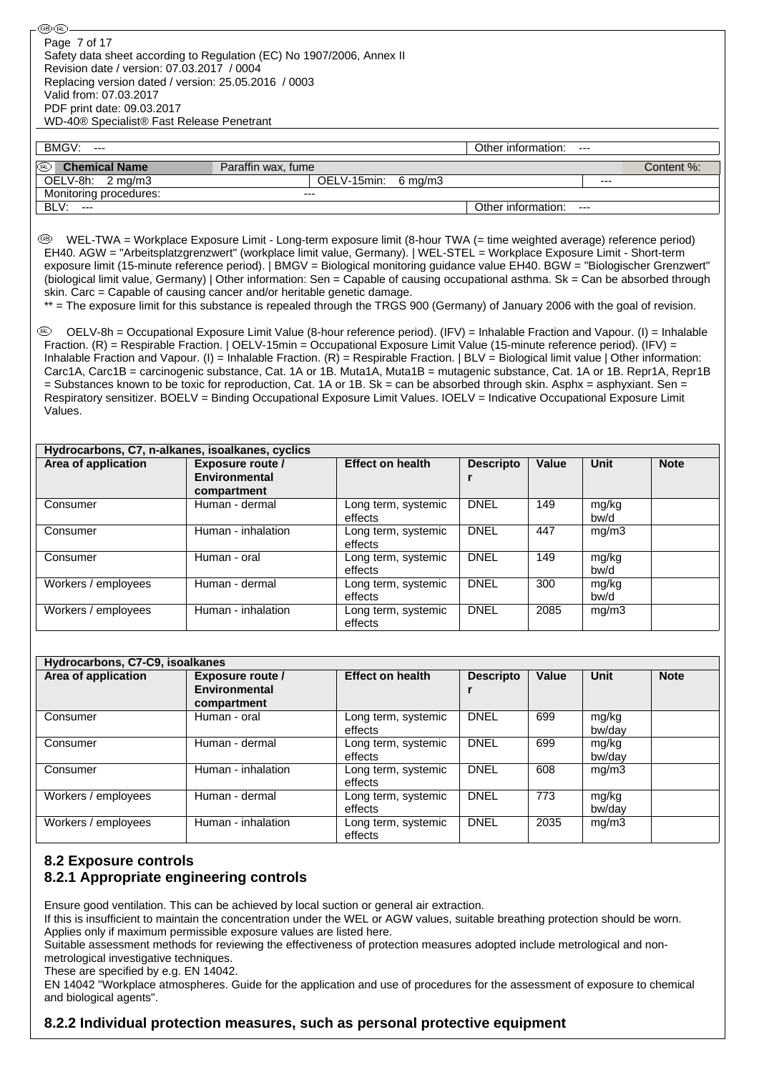Safety data sheet according to Regulation (EC) No 1907/2006, Annex II Revision date / version: 07.03.2017 / 0004 Replacing version dated / version: 25.05.2016 / 0003 Valid from: 07.03.2017 PDF print date: 09.03.2017 WD-40® Specialist® Fast Release Penetrant Page 7 of 17

௵

| BMGV: ---                           |                     | Other information:<br>$---$ |            |
|-------------------------------------|---------------------|-----------------------------|------------|
| $\circledR$<br><b>Chemical Name</b> | Paraffin wax, fume  |                             | Content %: |
| OELV-8h: 2 mg/m3                    | OELV-15min: 6 mg/m3 |                             | $- - -$    |
| Monitoring procedures:              | ---                 |                             |            |
| BLV:<br>$---$                       |                     | Other information:<br>$---$ |            |

 WEL-TWA = Workplace Exposure Limit - Long-term exposure limit (8-hour TWA (= time weighted average) reference period) EH40. AGW = "Arbeitsplatzgrenzwert" (workplace limit value, Germany). | WEL-STEL = Workplace Exposure Limit - Short-term exposure limit (15-minute reference period). | BMGV = Biological monitoring guidance value EH40. BGW = "Biologischer Grenzwert" (biological limit value, Germany) | Other information: Sen = Capable of causing occupational asthma. Sk = Can be absorbed through skin. Carc = Capable of causing cancer and/or heritable genetic damage.

\*\* = The exposure limit for this substance is repealed through the TRGS 900 (Germany) of January 2006 with the goal of revision.

 OELV-8h = Occupational Exposure Limit Value (8-hour reference period). (IFV) = Inhalable Fraction and Vapour. (I) = Inhalable Fraction. (R) = Respirable Fraction. | OELV-15min = Occupational Exposure Limit Value (15-minute reference period). (IFV) = Inhalable Fraction and Vapour. (I) = Inhalable Fraction. (R) = Respirable Fraction. | BLV = Biological limit value | Other information: Carc1A, Carc1B = carcinogenic substance, Cat. 1A or 1B. Muta1A, Muta1B = mutagenic substance, Cat. 1A or 1B. Repr1A, Repr1B = Substances known to be toxic for reproduction, Cat. 1A or 1B. Sk = can be absorbed through skin. Asphx = asphyxiant. Sen = Respiratory sensitizer. BOELV = Binding Occupational Exposure Limit Values. IOELV = Indicative Occupational Exposure Limit Values.

| Hydrocarbons, C7, n-alkanes, isoalkanes, cyclics |                                                         |                                |                  |       |               |             |  |
|--------------------------------------------------|---------------------------------------------------------|--------------------------------|------------------|-------|---------------|-------------|--|
| Area of application                              | Exposure route /<br><b>Environmental</b><br>compartment | <b>Effect on health</b>        | <b>Descripto</b> | Value | Unit          | <b>Note</b> |  |
| Consumer                                         | Human - dermal                                          | Long term, systemic<br>effects | <b>DNEL</b>      | 149   | mg/kg<br>bw/d |             |  |
| Consumer                                         | Human - inhalation                                      | Long term, systemic<br>effects | <b>DNEL</b>      | 447   | mg/m3         |             |  |
| Consumer                                         | Human - oral                                            | Long term, systemic<br>effects | <b>DNEL</b>      | 149   | mg/kg<br>bw/d |             |  |
| Workers / employees                              | Human - dermal                                          | Long term, systemic<br>effects | <b>DNEL</b>      | 300   | mg/kg<br>bw/d |             |  |
| Workers / employees                              | Human - inhalation                                      | Long term, systemic<br>effects | <b>DNEL</b>      | 2085  | mg/m3         |             |  |

| Hydrocarbons, C7-C9, isoalkanes |                         |                         |                  |       |        |             |  |
|---------------------------------|-------------------------|-------------------------|------------------|-------|--------|-------------|--|
| Area of application             | <b>Exposure route /</b> | <b>Effect on health</b> | <b>Descripto</b> | Value | Unit   | <b>Note</b> |  |
|                                 | <b>Environmental</b>    |                         |                  |       |        |             |  |
|                                 | compartment             |                         |                  |       |        |             |  |
| Consumer                        | Human - oral            | Long term, systemic     | <b>DNEL</b>      | 699   | mg/kg  |             |  |
|                                 |                         | effects                 |                  |       | bw/day |             |  |
| Consumer                        | Human - dermal          | Long term, systemic     | <b>DNEL</b>      | 699   | mg/kg  |             |  |
|                                 |                         | effects                 |                  |       | bw/day |             |  |
| Consumer                        | Human - inhalation      | Long term, systemic     | <b>DNEL</b>      | 608   | mg/m3  |             |  |
|                                 |                         | effects                 |                  |       |        |             |  |
| Workers / employees             | Human - dermal          | Long term, systemic     | <b>DNEL</b>      | 773   | mg/kg  |             |  |
|                                 |                         | effects                 |                  |       | bw/dav |             |  |
| Workers / employees             | Human - inhalation      | Long term, systemic     | <b>DNEL</b>      | 2035  | mg/m3  |             |  |
|                                 |                         | effects                 |                  |       |        |             |  |

## **8.2 Exposure controls 8.2.1 Appropriate engineering controls**

Ensure good ventilation. This can be achieved by local suction or general air extraction.

If this is insufficient to maintain the concentration under the WEL or AGW values, suitable breathing protection should be worn. Applies only if maximum permissible exposure values are listed here.

Suitable assessment methods for reviewing the effectiveness of protection measures adopted include metrological and nonmetrological investigative techniques.

These are specified by e.g. EN 14042.

EN 14042 "Workplace atmospheres. Guide for the application and use of procedures for the assessment of exposure to chemical and biological agents".

## **8.2.2 Individual protection measures, such as personal protective equipment**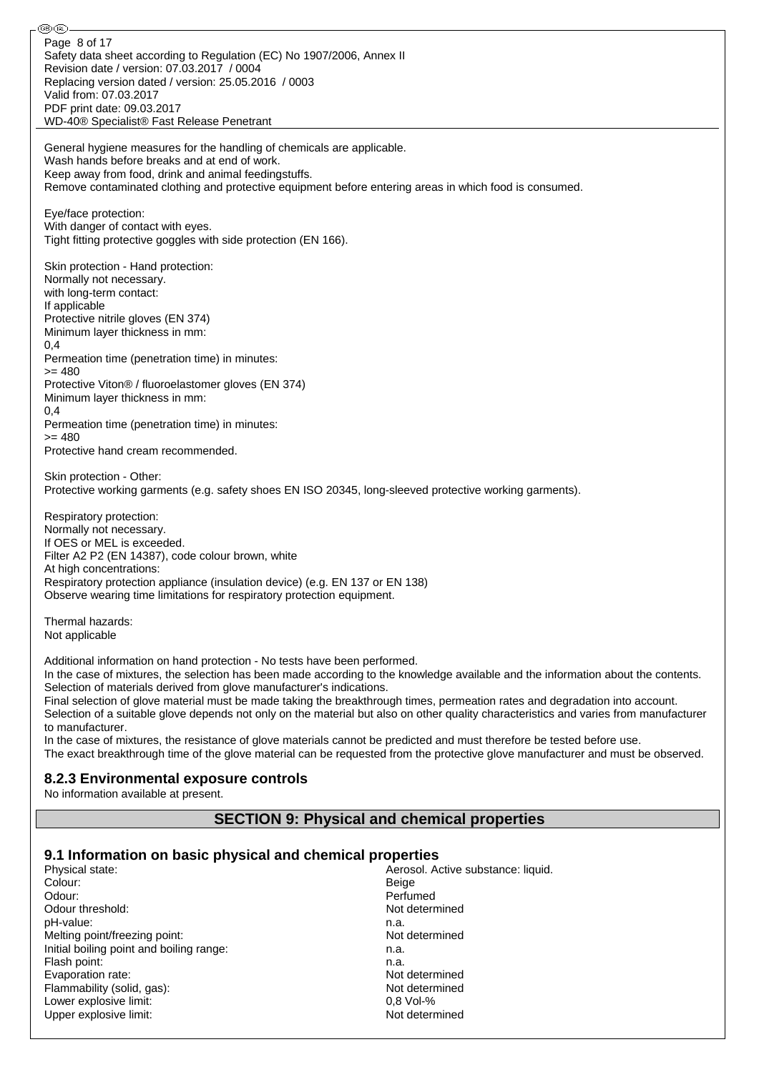⊛® Page 8 of 17Safety data sheet according to Regulation (EC) No 1907/2006, Annex II Revision date / version: 07.03.2017 / 0004 Replacing version dated / version: 25.05.2016 / 0003 Valid from: 07.03.2017 PDF print date: 09.03.2017 WD-40® Specialist® Fast Release Penetrant General hygiene measures for the handling of chemicals are applicable. Wash hands before breaks and at end of work. Keep away from food, drink and animal feedingstuffs. Remove contaminated clothing and protective equipment before entering areas in which food is consumed. Eye/face protection: With danger of contact with eyes. Tight fitting protective goggles with side protection (EN 166). Skin protection - Hand protection: Normally not necessary. with long-term contact: If applicable Protective nitrile gloves (EN 374) Minimum layer thickness in mm: 0,4 Permeation time (penetration time) in minutes:  $>= 480$ Protective Viton® / fluoroelastomer gloves (EN 374) Minimum layer thickness in mm:  $0,4$ Permeation time (penetration time) in minutes:  $= 480$ Protective hand cream recommended. Skin protection - Other: Protective working garments (e.g. safety shoes EN ISO 20345, long-sleeved protective working garments). Respiratory protection: Normally not necessary. If OES or MEL is exceeded. Filter A2 P2 (EN 14387), code colour brown, white At high concentrations: Respiratory protection appliance (insulation device) (e.g. EN 137 or EN 138) Observe wearing time limitations for respiratory protection equipment. Thermal hazards: Not applicable Additional information on hand protection - No tests have been performed. In the case of mixtures, the selection has been made according to the knowledge available and the information about the contents. Selection of materials derived from glove manufacturer's indications. Final selection of glove material must be made taking the breakthrough times, permeation rates and degradation into account. Selection of a suitable glove depends not only on the material but also on other quality characteristics and varies from manufacturer to manufacturer. In the case of mixtures, the resistance of glove materials cannot be predicted and must therefore be tested before use. The exact breakthrough time of the glove material can be requested from the protective glove manufacturer and must be observed. **8.2.3 Environmental exposure controls** No information available at present. **SECTION 9: Physical and chemical properties**

#### **9.1 Information on basic physical and chemical properties**

| Physical state:                          | Aerosol. Active substance: liquid. |
|------------------------------------------|------------------------------------|
| Colour:                                  | Beige                              |
| Odour:                                   | Perfumed                           |
| Odour threshold:                         | Not determined                     |
| pH-value:                                | n.a.                               |
| Melting point/freezing point:            | Not determined                     |
| Initial boiling point and boiling range: | n.a.                               |
| Flash point:                             | n.a.                               |
| Evaporation rate:                        | Not determined                     |
| Flammability (solid, gas):               | Not determined                     |
| Lower explosive limit:                   | $0.8$ Vol-%                        |
| Upper explosive limit:                   | Not determined                     |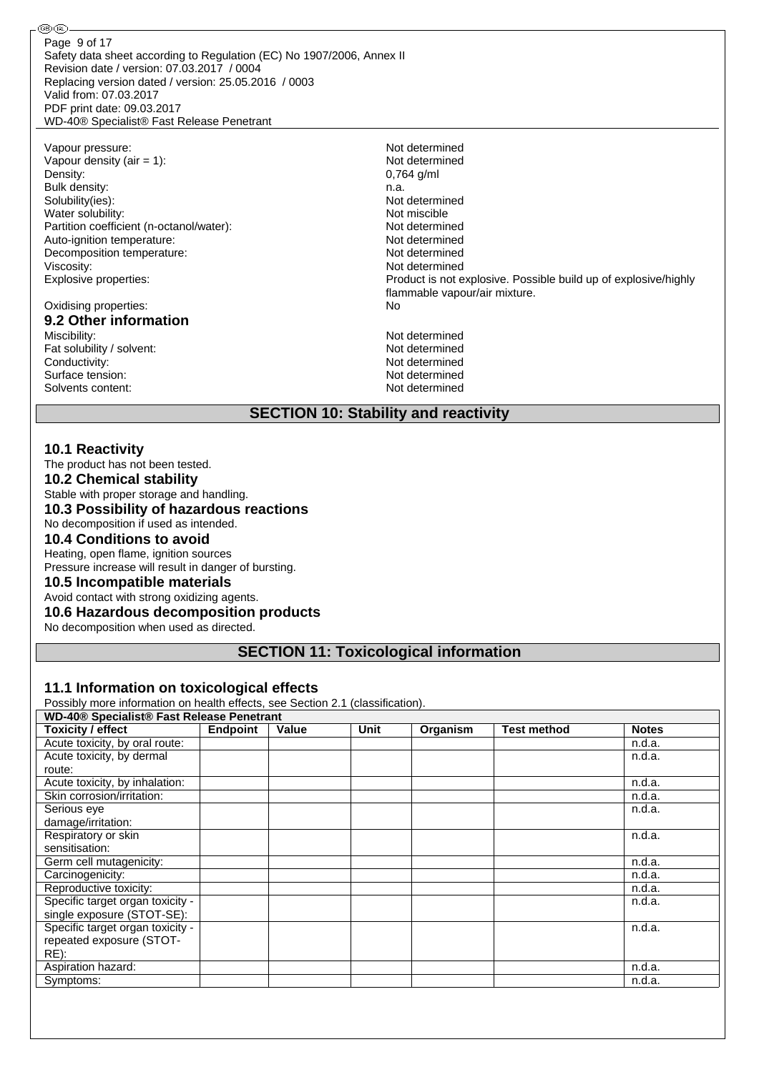Safety data sheet according to Regulation (EC) No 1907/2006, Annex II Revision date / version: 07.03.2017 / 0004 Replacing version dated / version: 25.05.2016 / 0003 Valid from: 07.03.2017 PDF print date: 09.03.2017 WD-40® Specialist® Fast Release Penetrant Page 9 of 17

Vapour pressure: Not determined<br>
Vapour density (air = 1): Not determined<br>
Not determined Vapour density (air  $= 1$ ): Density: 0,764 g/ml Bulk density: n.a. Solubility(ies):<br>
Water solubility:<br>
Water solubility:<br>
Water solubility: Water solubility:<br>
Partition coefficient (n-octanol/water):<br>
Partition coefficient (n-octanol/water):<br>
Not determined Partition coefficient (n-octanol/water): Auto-ignition temperature: Not determined Decomposition temperature: Not determined Viscosity: Not determined

#### Oxidising properties: No **9.2 Other information**

Miscibility: Not determined Fat solubility / solvent: Not determined Conductivity: Not determined Surface tension: Not determined Solvents content: Not determined

௵

Explosive properties: Product is not explosive. Possible build up of explosive/highly flammable vapour/air mixture.

## **SECTION 10: Stability and reactivity**

#### **10.1 Reactivity**

The product has not been tested. **10.2 Chemical stability**

Stable with proper storage and handling.

## **10.3 Possibility of hazardous reactions**

No decomposition if used as intended.

### **10.4 Conditions to avoid**

Heating, open flame, ignition sources Pressure increase will result in danger of bursting.

### **10.5 Incompatible materials**

Avoid contact with strong oxidizing agents.

#### **10.6 Hazardous decomposition products**

No decomposition when used as directed.

## **SECTION 11: Toxicological information**

#### **11.1 Information on toxicological effects**

Possibly more information on health effects, see Section 2.1 (classification).

| WD-40 <sup>®</sup> Specialist <sup>®</sup> Fast Release Penetrant |                 |       |      |          |                    |              |  |
|-------------------------------------------------------------------|-----------------|-------|------|----------|--------------------|--------------|--|
| <b>Toxicity / effect</b>                                          | <b>Endpoint</b> | Value | Unit | Organism | <b>Test method</b> | <b>Notes</b> |  |
| Acute toxicity, by oral route:                                    |                 |       |      |          |                    | n.d.a.       |  |
| Acute toxicity, by dermal                                         |                 |       |      |          |                    | n.d.a.       |  |
| route:                                                            |                 |       |      |          |                    |              |  |
| Acute toxicity, by inhalation:                                    |                 |       |      |          |                    | n.d.a.       |  |
| Skin corrosion/irritation:                                        |                 |       |      |          |                    | n.d.a.       |  |
| Serious eye                                                       |                 |       |      |          |                    | n.d.a.       |  |
| damage/irritation:                                                |                 |       |      |          |                    |              |  |
| Respiratory or skin                                               |                 |       |      |          |                    | n.d.a.       |  |
| sensitisation:                                                    |                 |       |      |          |                    |              |  |
| Germ cell mutagenicity:                                           |                 |       |      |          |                    | n.d.a.       |  |
| Carcinogenicity:                                                  |                 |       |      |          |                    | n.d.a.       |  |
| Reproductive toxicity:                                            |                 |       |      |          |                    | n.d.a.       |  |
| Specific target organ toxicity -                                  |                 |       |      |          |                    | n.d.a.       |  |
| single exposure (STOT-SE):                                        |                 |       |      |          |                    |              |  |
| Specific target organ toxicity -                                  |                 |       |      |          |                    | n.d.a.       |  |
| repeated exposure (STOT-                                          |                 |       |      |          |                    |              |  |
| $RE)$ :                                                           |                 |       |      |          |                    |              |  |
| Aspiration hazard:                                                |                 |       |      |          |                    | n.d.a.       |  |
| Symptoms:                                                         |                 |       |      |          |                    | n.d.a.       |  |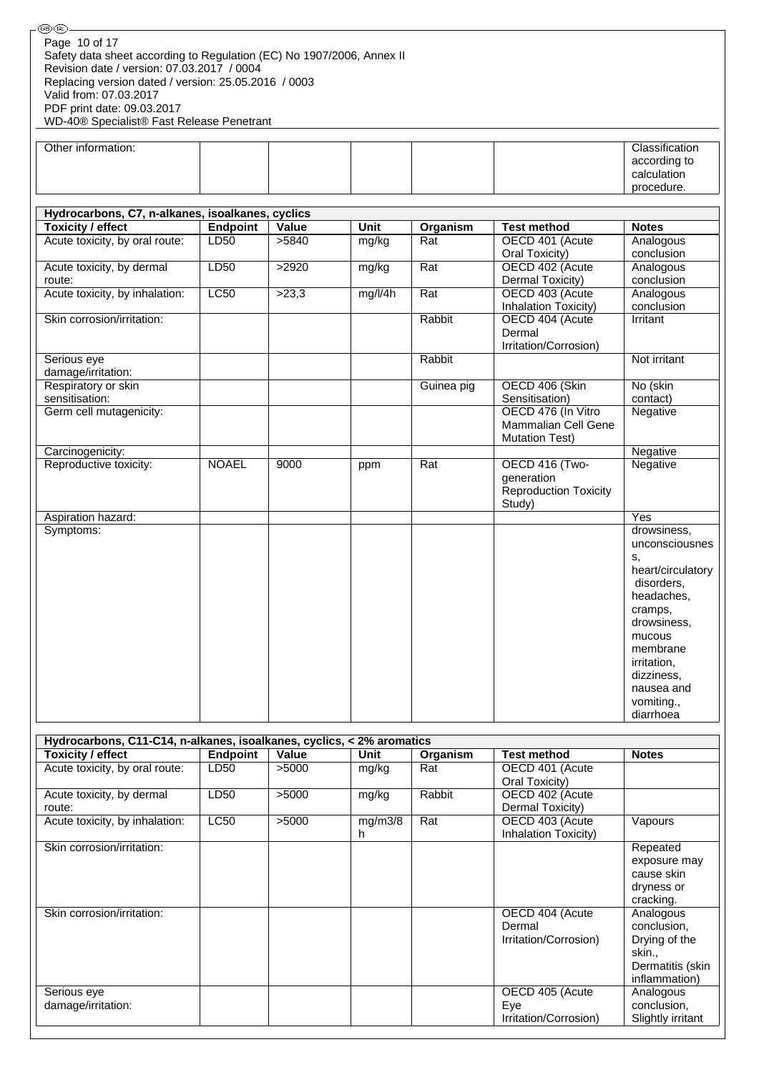| <b>⑧凪</b>                                                             |              |       |             |            |                                      |                                |
|-----------------------------------------------------------------------|--------------|-------|-------------|------------|--------------------------------------|--------------------------------|
| Page 10 of 17                                                         |              |       |             |            |                                      |                                |
| Safety data sheet according to Regulation (EC) No 1907/2006, Annex II |              |       |             |            |                                      |                                |
| Revision date / version: 07.03.2017 / 0004                            |              |       |             |            |                                      |                                |
| Replacing version dated / version: 25.05.2016 / 0003                  |              |       |             |            |                                      |                                |
| Valid from: 07.03.2017                                                |              |       |             |            |                                      |                                |
| PDF print date: 09.03.2017                                            |              |       |             |            |                                      |                                |
| WD-40® Specialist® Fast Release Penetrant                             |              |       |             |            |                                      |                                |
|                                                                       |              |       |             |            |                                      |                                |
| Other information:                                                    |              |       |             |            |                                      | Classification<br>according to |
|                                                                       |              |       |             |            |                                      | calculation                    |
|                                                                       |              |       |             |            |                                      | procedure.                     |
|                                                                       |              |       |             |            |                                      |                                |
| Hydrocarbons, C7, n-alkanes, isoalkanes, cyclics                      |              |       |             |            |                                      |                                |
| <b>Toxicity / effect</b>                                              | Endpoint     | Value | <b>Unit</b> | Organism   | <b>Test method</b>                   | <b>Notes</b>                   |
| Acute toxicity, by oral route:                                        | LD50         | >5840 | mg/kg       | Rat        | OECD 401 (Acute                      | Analogous                      |
|                                                                       |              |       |             |            | Oral Toxicity)                       | conclusion                     |
| Acute toxicity, by dermal                                             | LD50         | >2920 | mg/kg       | Rat        | OECD 402 (Acute                      | Analogous                      |
| route:                                                                |              |       |             |            | Dermal Toxicity)                     | conclusion                     |
| Acute toxicity, by inhalation:                                        | LC50         | >23,3 | mg/l/4h     | Rat        | OECD 403 (Acute                      | Analogous                      |
|                                                                       |              |       |             |            | Inhalation Toxicity)                 | conclusion                     |
| Skin corrosion/irritation:                                            |              |       |             | Rabbit     | OECD 404 (Acute                      | Irritant                       |
|                                                                       |              |       |             |            | Dermal                               |                                |
|                                                                       |              |       |             |            | Irritation/Corrosion)                |                                |
| Serious eye                                                           |              |       |             | Rabbit     |                                      | Not irritant                   |
| damage/irritation:                                                    |              |       |             |            |                                      |                                |
| Respiratory or skin<br>sensitisation:                                 |              |       |             | Guinea pig | OECD 406 (Skin                       | No (skin                       |
| Germ cell mutagenicity:                                               |              |       |             |            | Sensitisation)<br>OECD 476 (In Vitro | contact)<br>Negative           |
|                                                                       |              |       |             |            | Mammalian Cell Gene                  |                                |
|                                                                       |              |       |             |            | <b>Mutation Test)</b>                |                                |
| Carcinogenicity:                                                      |              |       |             |            |                                      | Negative                       |
| Reproductive toxicity:                                                | <b>NOAEL</b> | 9000  | ppm         | Rat        | OECD 416 (Two-                       | Negative                       |
|                                                                       |              |       |             |            | generation                           |                                |
|                                                                       |              |       |             |            | <b>Reproduction Toxicity</b>         |                                |
|                                                                       |              |       |             |            | Study)                               |                                |
| Aspiration hazard:                                                    |              |       |             |            |                                      | Yes                            |
| Symptoms:                                                             |              |       |             |            |                                      | drowsiness,                    |
|                                                                       |              |       |             |            |                                      | unconsciousnes                 |
|                                                                       |              |       |             |            |                                      | S,                             |
|                                                                       |              |       |             |            |                                      | heart/circulatory              |
|                                                                       |              |       |             |            |                                      | disorders,                     |
|                                                                       |              |       |             |            |                                      | headaches.                     |
|                                                                       |              |       |             |            |                                      | cramps,                        |

|                                                                       |             |       |         |          |                       | diarrhoea         |  |  |  |  |  |
|-----------------------------------------------------------------------|-------------|-------|---------|----------|-----------------------|-------------------|--|--|--|--|--|
|                                                                       |             |       |         |          |                       |                   |  |  |  |  |  |
| Hydrocarbons, C11-C14, n-alkanes, isoalkanes, cyclics, < 2% aromatics |             |       |         |          |                       |                   |  |  |  |  |  |
| <b>Toxicity / effect</b>                                              | Endpoint    | Value | Unit    | Organism | <b>Test method</b>    | <b>Notes</b>      |  |  |  |  |  |
| Acute toxicity, by oral route:                                        | LD50        | >5000 | mg/kg   | Rat      | OECD 401 (Acute       |                   |  |  |  |  |  |
|                                                                       |             |       |         |          | Oral Toxicity)        |                   |  |  |  |  |  |
| Acute toxicity, by dermal                                             | LD50        | >5000 | mg/kg   | Rabbit   | OECD 402 (Acute       |                   |  |  |  |  |  |
| route:                                                                |             |       |         |          | Dermal Toxicity)      |                   |  |  |  |  |  |
| Acute toxicity, by inhalation:                                        | <b>LC50</b> | >5000 | mg/m3/8 | Rat      | OECD 403 (Acute       | Vapours           |  |  |  |  |  |
|                                                                       |             |       | h       |          | Inhalation Toxicity)  |                   |  |  |  |  |  |
| Skin corrosion/irritation:                                            |             |       |         |          |                       | Repeated          |  |  |  |  |  |
|                                                                       |             |       |         |          |                       | exposure may      |  |  |  |  |  |
|                                                                       |             |       |         |          |                       | cause skin        |  |  |  |  |  |
|                                                                       |             |       |         |          |                       | dryness or        |  |  |  |  |  |
|                                                                       |             |       |         |          |                       | cracking.         |  |  |  |  |  |
| Skin corrosion/irritation:                                            |             |       |         |          | OECD 404 (Acute       | Analogous         |  |  |  |  |  |
|                                                                       |             |       |         |          | Dermal                | conclusion,       |  |  |  |  |  |
|                                                                       |             |       |         |          | Irritation/Corrosion) | Drying of the     |  |  |  |  |  |
|                                                                       |             |       |         |          |                       | skin.,            |  |  |  |  |  |
|                                                                       |             |       |         |          |                       | Dermatitis (skin  |  |  |  |  |  |
|                                                                       |             |       |         |          |                       | inflammation)     |  |  |  |  |  |
| Serious eye                                                           |             |       |         |          | OECD 405 (Acute       | Analogous         |  |  |  |  |  |
| damage/irritation:                                                    |             |       |         |          | Eye                   | conclusion,       |  |  |  |  |  |
|                                                                       |             |       |         |          | Irritation/Corrosion) | Slightly irritant |  |  |  |  |  |

 $\mathbb{R}^2$ 

drowsiness, mucous membrane irritation, dizziness, nausea and vomiting.,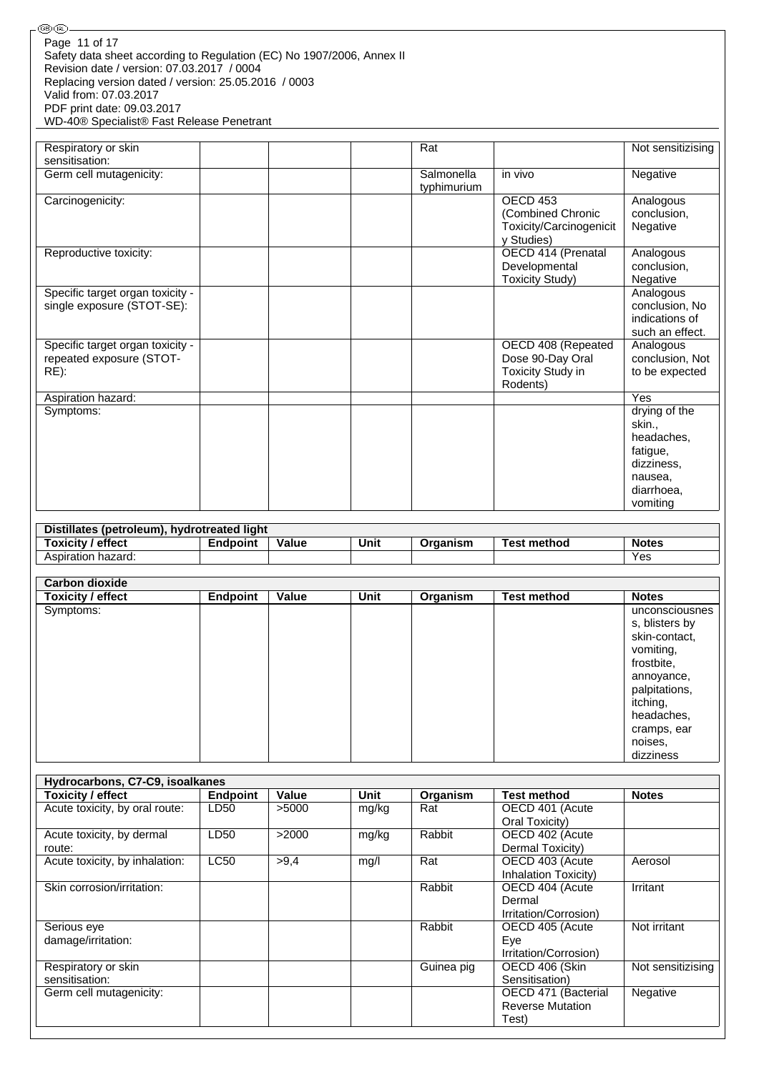| ) (IRL)                                                               |
|-----------------------------------------------------------------------|
| Page 11 of 17                                                         |
| Safety data sheet according to Regulation (EC) No 1907/2006, Annex II |
| Revision date / version: 07.03.2017 / 0004                            |
| Replacing version dated / version: 25.05.2016 / 0003                  |
| Valid from: 07.03.2017                                                |
| PDF print date: 09.03.2017                                            |
| WD-40® Specialist® Fast Release Penetrant                             |

| Respiratory or skin<br>sensitisation:                                   | Rat                       |                                                                         | Not sensitizising                                                |
|-------------------------------------------------------------------------|---------------------------|-------------------------------------------------------------------------|------------------------------------------------------------------|
| Germ cell mutagenicity:                                                 | Salmonella<br>typhimurium | in vivo                                                                 | Negative                                                         |
| Carcinogenicity:                                                        |                           | OECD 453<br>(Combined Chronic<br>Toxicity/Carcinogenicit<br>y Studies)  | Analogous<br>conclusion,<br>Negative                             |
| Reproductive toxicity:                                                  |                           | OECD 414 (Prenatal<br>Developmental<br><b>Toxicity Study)</b>           | Analogous<br>conclusion,<br>Negative                             |
| Specific target organ toxicity -<br>single exposure (STOT-SE):          |                           |                                                                         | Analogous<br>conclusion, No<br>indications of<br>such an effect. |
| Specific target organ toxicity -<br>repeated exposure (STOT-<br>$RE)$ : |                           | OECD 408 (Repeated<br>Dose 90-Day Oral<br>Toxicity Study in<br>Rodents) | Analogous<br>conclusion, Not<br>to be expected                   |
| Aspiration hazard:                                                      |                           |                                                                         | Yes                                                              |
| Symptoms:                                                               |                           |                                                                         | drying of the<br>skin.,<br>headaches,<br>fatigue,                |
|                                                                         |                           |                                                                         | dizziness,<br>nausea,<br>diarrhoea,<br>vomiting                  |

| Distillates (petroleum), hydrotreated light |                 |       |      |          |                    |              |  |  |  |  |
|---------------------------------------------|-----------------|-------|------|----------|--------------------|--------------|--|--|--|--|
| <b>Toxicity / effect</b>                    | <b>Endpoint</b> | Value | Unit | Organism | <b>Test method</b> | <b>Notes</b> |  |  |  |  |
| Aspiration hazard:                          |                 |       |      |          |                    | Yes          |  |  |  |  |

| <b>Carbon dioxide</b> |                 |       |      |          |                    |                                                                                                                                                                              |
|-----------------------|-----------------|-------|------|----------|--------------------|------------------------------------------------------------------------------------------------------------------------------------------------------------------------------|
| Toxicity / effect     | <b>Endpoint</b> | Value | Unit | Organism | <b>Test method</b> | <b>Notes</b>                                                                                                                                                                 |
| Symptoms:             |                 |       |      |          |                    | unconsciousnes<br>s, blisters by<br>skin-contact,<br>vomiting,<br>frostbite,<br>annoyance,<br>palpitations,<br>itching,<br>headaches,<br>cramps, ear<br>noises,<br>dizziness |

| Hydrocarbons, C7-C9, isoalkanes |             |       |       |            |                         |                   |  |  |  |  |
|---------------------------------|-------------|-------|-------|------------|-------------------------|-------------------|--|--|--|--|
| Toxicity / effect               | Endpoint    | Value | Unit  | Organism   | <b>Test method</b>      | <b>Notes</b>      |  |  |  |  |
| Acute toxicity, by oral route:  | LD50        | >5000 | mg/kg | Rat        | OECD 401 (Acute         |                   |  |  |  |  |
|                                 |             |       |       |            | Oral Toxicity)          |                   |  |  |  |  |
| Acute toxicity, by dermal       | LD50        | >2000 | mg/kg | Rabbit     | OECD 402 (Acute         |                   |  |  |  |  |
| route:                          |             |       |       |            | Dermal Toxicity)        |                   |  |  |  |  |
| Acute toxicity, by inhalation:  | <b>LC50</b> | >9.4  | mg/l  | Rat        | OECD 403 (Acute         | Aerosol           |  |  |  |  |
|                                 |             |       |       |            | Inhalation Toxicity)    |                   |  |  |  |  |
| Skin corrosion/irritation:      |             |       |       | Rabbit     | OECD 404 (Acute         | Irritant          |  |  |  |  |
|                                 |             |       |       |            | Dermal                  |                   |  |  |  |  |
|                                 |             |       |       |            | Irritation/Corrosion)   |                   |  |  |  |  |
| Serious eye                     |             |       |       | Rabbit     | OECD 405 (Acute         | Not irritant      |  |  |  |  |
| damage/irritation:              |             |       |       |            | Eye                     |                   |  |  |  |  |
|                                 |             |       |       |            | Irritation/Corrosion)   |                   |  |  |  |  |
| Respiratory or skin             |             |       |       | Guinea pig | OECD 406 (Skin          | Not sensitizising |  |  |  |  |
| sensitisation:                  |             |       |       |            | Sensitisation)          |                   |  |  |  |  |
| Germ cell mutagenicity:         |             |       |       |            | OECD 471 (Bacterial     | Negative          |  |  |  |  |
|                                 |             |       |       |            | <b>Reverse Mutation</b> |                   |  |  |  |  |
|                                 |             |       |       |            | Test)                   |                   |  |  |  |  |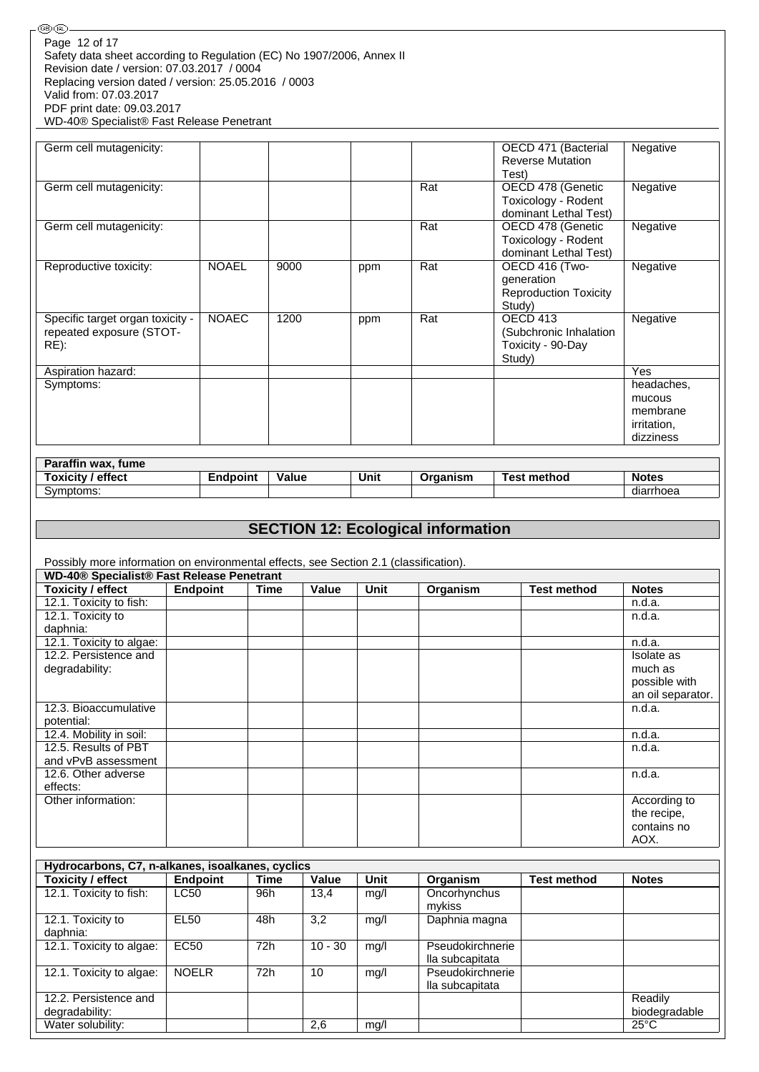| ) (IRL)                                                               |
|-----------------------------------------------------------------------|
| Page 12 of 17                                                         |
| Safety data sheet according to Regulation (EC) No 1907/2006, Annex II |
| Revision date / version: 07.03.2017 / 0004                            |
| Replacing version dated / version: 25.05.2016 / 0003                  |
| Valid from: 07.03.2017                                                |
| PDF print date: 09.03.2017                                            |
| WD-40® Specialist® Fast Release Penetrant                             |

| Germ cell mutagenicity:                                                 |              |      |     |     | OECD 471 (Bacterial<br><b>Reverse Mutation</b><br>Test)                | Negative                                                     |
|-------------------------------------------------------------------------|--------------|------|-----|-----|------------------------------------------------------------------------|--------------------------------------------------------------|
| Germ cell mutagenicity:                                                 |              |      |     | Rat | OECD 478 (Genetic<br>Toxicology - Rodent<br>dominant Lethal Test)      | Negative                                                     |
| Germ cell mutagenicity:                                                 |              |      |     | Rat | OECD 478 (Genetic<br>Toxicology - Rodent<br>dominant Lethal Test)      | Negative                                                     |
| Reproductive toxicity:                                                  | <b>NOAEL</b> | 9000 | ppm | Rat | OECD 416 (Two-<br>generation<br><b>Reproduction Toxicity</b><br>Study) | Negative                                                     |
| Specific target organ toxicity -<br>repeated exposure (STOT-<br>$RE)$ : | <b>NOAEC</b> | 1200 | ppm | Rat | OECD 413<br>(Subchronic Inhalation<br>Toxicity - 90-Day<br>Study)      | Negative                                                     |
| Aspiration hazard:                                                      |              |      |     |     |                                                                        | <b>Yes</b>                                                   |
| Symptoms:                                                               |              |      |     |     |                                                                        | headaches,<br>mucous<br>membrane<br>irritation,<br>dizziness |

| Paraffin wax, fume       |          |       |      |          |                    |              |
|--------------------------|----------|-------|------|----------|--------------------|--------------|
| <b>Toxicity / effect</b> | Endpoint | Value | Unit | Organism | <b>Test method</b> | <b>Notes</b> |
| Symptoms:                |          |       |      |          |                    | diarrhoea    |

# **SECTION 12: Ecological information**

Possibly more information on environmental effects, see Section 2.1 (classification).

|                          | WD-40® Specialist® Fast Release Penetrant |      |       |      |          |                    |                   |  |  |  |  |
|--------------------------|-------------------------------------------|------|-------|------|----------|--------------------|-------------------|--|--|--|--|
| <b>Toxicity / effect</b> | Endpoint                                  | Time | Value | Unit | Organism | <b>Test method</b> | <b>Notes</b>      |  |  |  |  |
| 12.1. Toxicity to fish:  |                                           |      |       |      |          |                    | n.d.a.            |  |  |  |  |
| 12.1. Toxicity to        |                                           |      |       |      |          |                    | n.d.a.            |  |  |  |  |
| daphnia:                 |                                           |      |       |      |          |                    |                   |  |  |  |  |
| 12.1. Toxicity to algae: |                                           |      |       |      |          |                    | n.d.a.            |  |  |  |  |
| 12.2. Persistence and    |                                           |      |       |      |          |                    | Isolate as        |  |  |  |  |
| degradability:           |                                           |      |       |      |          |                    | much as           |  |  |  |  |
|                          |                                           |      |       |      |          |                    | possible with     |  |  |  |  |
|                          |                                           |      |       |      |          |                    | an oil separator. |  |  |  |  |
| 12.3. Bioaccumulative    |                                           |      |       |      |          |                    | n.d.a.            |  |  |  |  |
| potential:               |                                           |      |       |      |          |                    |                   |  |  |  |  |
| 12.4. Mobility in soil:  |                                           |      |       |      |          |                    | n.d.a.            |  |  |  |  |
| 12.5. Results of PBT     |                                           |      |       |      |          |                    | n.d.a.            |  |  |  |  |
| and vPvB assessment      |                                           |      |       |      |          |                    |                   |  |  |  |  |
| 12.6. Other adverse      |                                           |      |       |      |          |                    | n.d.a.            |  |  |  |  |
| effects:                 |                                           |      |       |      |          |                    |                   |  |  |  |  |
| Other information:       |                                           |      |       |      |          |                    | According to      |  |  |  |  |
|                          |                                           |      |       |      |          |                    | the recipe,       |  |  |  |  |
|                          |                                           |      |       |      |          |                    | contains no       |  |  |  |  |
|                          |                                           |      |       |      |          |                    | AOX.              |  |  |  |  |

| Hydrocarbons, C7, n-alkanes, isoalkanes, cyclics |              |             |           |      |                                     |                    |                          |  |  |  |
|--------------------------------------------------|--------------|-------------|-----------|------|-------------------------------------|--------------------|--------------------------|--|--|--|
| <b>Toxicity / effect</b>                         | Endpoint     | <b>Time</b> | Value     | Unit | Organism                            | <b>Test method</b> | <b>Notes</b>             |  |  |  |
| 12.1. Toxicity to fish:                          | <b>LC50</b>  | 96h         | 13.4      | mg/l | Oncorhynchus<br>mykiss              |                    |                          |  |  |  |
| 12.1. Toxicity to<br>daphnia:                    | <b>EL50</b>  | 48h         | 3,2       | mg/l | Daphnia magna                       |                    |                          |  |  |  |
| 12.1. Toxicity to algae:                         | <b>EC50</b>  | 72h         | $10 - 30$ | mg/l | Pseudokirchnerie<br>lla subcapitata |                    |                          |  |  |  |
| 12.1. Toxicity to algae:                         | <b>NOELR</b> | 72h         | 10        | mg/l | Pseudokirchnerie<br>lla subcapitata |                    |                          |  |  |  |
| 12.2. Persistence and<br>degradability:          |              |             |           |      |                                     |                    | Readily<br>biodegradable |  |  |  |
| Water solubility:                                |              |             | 2,6       | mq/l |                                     |                    | $25^{\circ}$ C           |  |  |  |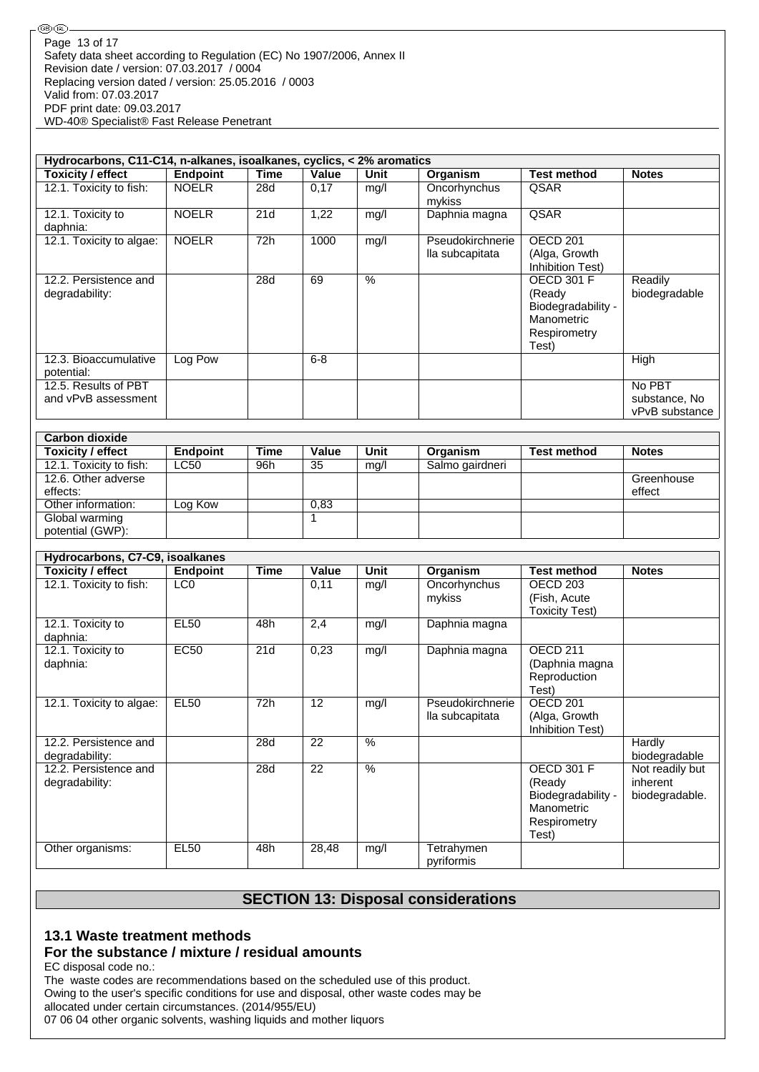**®®** 

| Hydrocarbons, C11-C14, n-alkanes, isoalkanes, cyclics, < 2% aromatics |                 |      |         |      |                                     |                                                                                          |                                           |  |  |  |
|-----------------------------------------------------------------------|-----------------|------|---------|------|-------------------------------------|------------------------------------------------------------------------------------------|-------------------------------------------|--|--|--|
| Toxicity / effect                                                     | <b>Endpoint</b> | Time | Value   | Unit | Organism                            | <b>Test method</b>                                                                       | <b>Notes</b>                              |  |  |  |
| 12.1. Toxicity to fish:                                               | <b>NOELR</b>    | 28d  | 0.17    | mq/l | Oncorhynchus<br>mykiss              | <b>QSAR</b>                                                                              |                                           |  |  |  |
| 12.1. Toxicity to<br>daphnia:                                         | <b>NOELR</b>    | 21d  | 1,22    | mg/l | Daphnia magna                       | QSAR                                                                                     |                                           |  |  |  |
| 12.1. Toxicity to algae:                                              | <b>NOELR</b>    | 72h  | 1000    | mq/l | Pseudokirchnerie<br>lla subcapitata | OECD <sub>201</sub><br>(Alga, Growth<br>Inhibition Test)                                 |                                           |  |  |  |
| 12.2. Persistence and<br>degradability:                               |                 | 28d  | 69      | $\%$ |                                     | <b>OECD 301 F</b><br>(Ready<br>Biodegradability -<br>Manometric<br>Respirometry<br>Test) | Readily<br>biodegradable                  |  |  |  |
| 12.3. Bioaccumulative<br>potential:                                   | Log Pow         |      | $6 - 8$ |      |                                     |                                                                                          | High                                      |  |  |  |
| 12.5. Results of PBT<br>and vPvB assessment                           |                 |      |         |      |                                     |                                                                                          | No PBT<br>substance, No<br>vPvB substance |  |  |  |

| <b>Carbon dioxide</b>    |             |      |       |      |                 |                    |              |
|--------------------------|-------------|------|-------|------|-----------------|--------------------|--------------|
| <b>Toxicity / effect</b> | Endpoint    | Time | Value | Unit | Organism        | <b>Test method</b> | <b>Notes</b> |
| 12.1. Toxicity to fish:  | <b>LC50</b> | 96h  | 35    | mq/l | Salmo gairdneri |                    |              |
| 12.6. Other adverse      |             |      |       |      |                 |                    | Greenhouse   |
| effects:                 |             |      |       |      |                 |                    | effect       |
| Other information:       | Log Kow     |      | 0,83  |      |                 |                    |              |
| Global warming           |             |      |       |      |                 |                    |              |
| potential (GWP):         |             |      |       |      |                 |                    |              |

| Hydrocarbons, C7-C9, isoalkanes         |                 |             |       |      |                                     |                                                                                          |                                               |
|-----------------------------------------|-----------------|-------------|-------|------|-------------------------------------|------------------------------------------------------------------------------------------|-----------------------------------------------|
| <b>Toxicity / effect</b>                | Endpoint        | <b>Time</b> | Value | Unit | Organism                            | <b>Test method</b>                                                                       | <b>Notes</b>                                  |
| 12.1. Toxicity to fish:                 | LC <sub>0</sub> |             | 0,11  | mq/l | Oncorhynchus<br>mykiss              | OECD 203<br>(Fish, Acute                                                                 |                                               |
|                                         |                 |             |       |      |                                     | <b>Toxicity Test)</b>                                                                    |                                               |
| 12.1. Toxicity to<br>daphnia:           | <b>EL50</b>     | 48h         | 2,4   | mg/l | Daphnia magna                       |                                                                                          |                                               |
| 12.1. Toxicity to<br>daphnia:           | <b>EC50</b>     | 21d         | 0,23  | mg/l | Daphnia magna                       | OECD <sub>211</sub><br>(Daphnia magna<br>Reproduction<br>Test)                           |                                               |
| 12.1. Toxicity to algae:                | <b>EL50</b>     | 72h         | 12    | mg/l | Pseudokirchnerie<br>lla subcapitata | OECD <sub>201</sub><br>(Alga, Growth<br>Inhibition Test)                                 |                                               |
| 12.2. Persistence and<br>degradability: |                 | 28d         | 22    | %    |                                     |                                                                                          | Hardly<br>biodegradable                       |
| 12.2. Persistence and<br>degradability: |                 | 28d         | 22    | $\%$ |                                     | <b>OECD 301 F</b><br>(Ready<br>Biodegradability -<br>Manometric<br>Respirometry<br>Test) | Not readily but<br>inherent<br>biodegradable. |
| Other organisms:                        | <b>EL50</b>     | 48h         | 28,48 | mg/l | Tetrahymen<br>pyriformis            |                                                                                          |                                               |

# **SECTION 13: Disposal considerations**

#### **13.1 Waste treatment methods For the substance / mixture / residual amounts**

EC disposal code no.:

The waste codes are recommendations based on the scheduled use of this product. Owing to the user's specific conditions for use and disposal, other waste codes may be allocated under certain circumstances. (2014/955/EU) 07 06 04 other organic solvents, washing liquids and mother liquors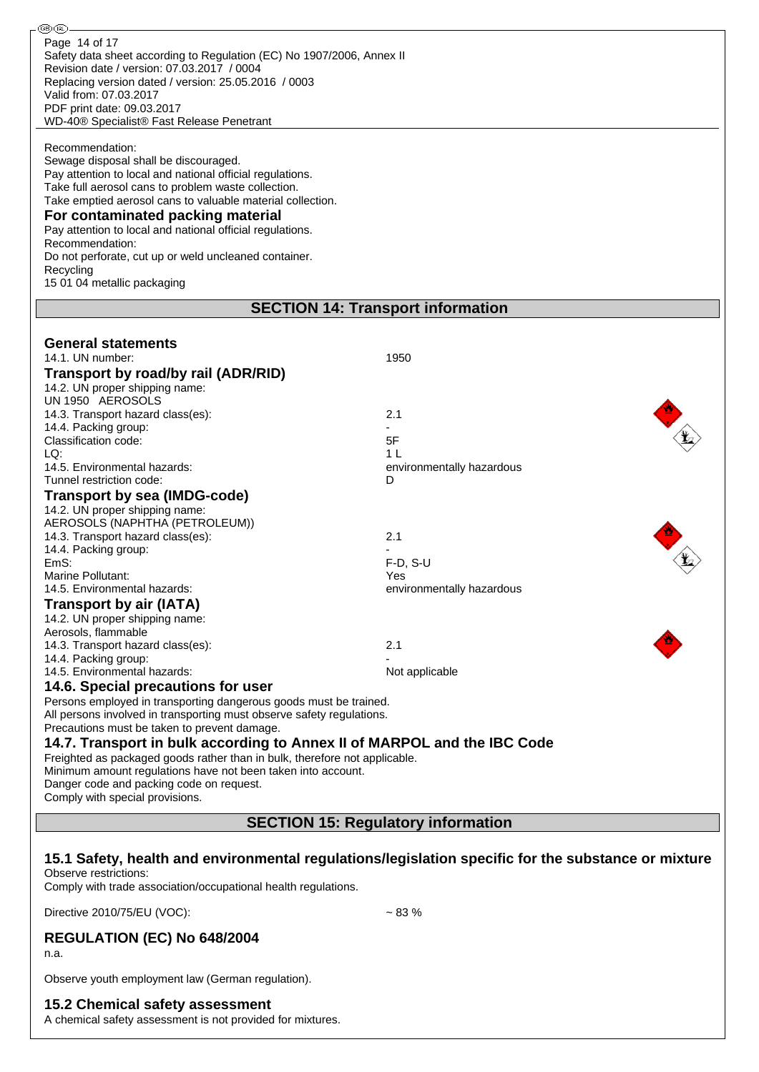| ®ை-                                                                                                                                                                                                                    |                                                                                                     |  |  |  |
|------------------------------------------------------------------------------------------------------------------------------------------------------------------------------------------------------------------------|-----------------------------------------------------------------------------------------------------|--|--|--|
| Page 14 of 17<br>Safety data sheet according to Regulation (EC) No 1907/2006, Annex II<br>Revision date / version: 07.03.2017 / 0004<br>Replacing version dated / version: 25.05.2016 / 0003<br>Valid from: 07.03.2017 |                                                                                                     |  |  |  |
| PDF print date: 09.03.2017                                                                                                                                                                                             |                                                                                                     |  |  |  |
| WD-40® Specialist® Fast Release Penetrant                                                                                                                                                                              |                                                                                                     |  |  |  |
| Recommendation:<br>Sewage disposal shall be discouraged.<br>Pay attention to local and national official regulations.<br>Take full aerosol cans to problem waste collection.                                           |                                                                                                     |  |  |  |
| Take emptied aerosol cans to valuable material collection.                                                                                                                                                             |                                                                                                     |  |  |  |
| For contaminated packing material<br>Pay attention to local and national official regulations.<br>Recommendation:                                                                                                      |                                                                                                     |  |  |  |
| Do not perforate, cut up or weld uncleaned container.                                                                                                                                                                  |                                                                                                     |  |  |  |
| Recycling                                                                                                                                                                                                              |                                                                                                     |  |  |  |
| 15 01 04 metallic packaging                                                                                                                                                                                            |                                                                                                     |  |  |  |
|                                                                                                                                                                                                                        | <b>SECTION 14: Transport information</b>                                                            |  |  |  |
|                                                                                                                                                                                                                        |                                                                                                     |  |  |  |
| <b>General statements</b>                                                                                                                                                                                              |                                                                                                     |  |  |  |
| 14.1. UN number:                                                                                                                                                                                                       | 1950                                                                                                |  |  |  |
| Transport by road/by rail (ADR/RID)<br>14.2. UN proper shipping name:                                                                                                                                                  |                                                                                                     |  |  |  |
| UN 1950 AEROSOLS                                                                                                                                                                                                       |                                                                                                     |  |  |  |
| 14.3. Transport hazard class(es):                                                                                                                                                                                      | 2.1                                                                                                 |  |  |  |
| 14.4. Packing group:                                                                                                                                                                                                   |                                                                                                     |  |  |  |
| Classification code:<br>LQ:                                                                                                                                                                                            | 5F<br>1 L                                                                                           |  |  |  |
| 14.5. Environmental hazards:                                                                                                                                                                                           | environmentally hazardous                                                                           |  |  |  |
| Tunnel restriction code:                                                                                                                                                                                               | D                                                                                                   |  |  |  |
| Transport by sea (IMDG-code)                                                                                                                                                                                           |                                                                                                     |  |  |  |
| 14.2. UN proper shipping name:                                                                                                                                                                                         |                                                                                                     |  |  |  |
| AEROSOLS (NAPHTHA (PETROLEUM))<br>14.3. Transport hazard class(es):                                                                                                                                                    | 2.1                                                                                                 |  |  |  |
| 14.4. Packing group:                                                                                                                                                                                                   |                                                                                                     |  |  |  |
| EmS:                                                                                                                                                                                                                   | $F-D, S-U$                                                                                          |  |  |  |
| Marine Pollutant:                                                                                                                                                                                                      | Yes                                                                                                 |  |  |  |
| 14.5. Environmental hazards:<br><b>Transport by air (IATA)</b>                                                                                                                                                         | environmentally hazardous                                                                           |  |  |  |
| 14.2. UN proper shipping name:                                                                                                                                                                                         |                                                                                                     |  |  |  |
| Aerosols, flammable                                                                                                                                                                                                    |                                                                                                     |  |  |  |
| 14.3. Transport hazard class(es):                                                                                                                                                                                      | 2.1                                                                                                 |  |  |  |
| 14.4. Packing group:<br>14.5. Environmental hazards:                                                                                                                                                                   | Not applicable                                                                                      |  |  |  |
| 14.6. Special precautions for user                                                                                                                                                                                     |                                                                                                     |  |  |  |
| Persons employed in transporting dangerous goods must be trained.                                                                                                                                                      |                                                                                                     |  |  |  |
| All persons involved in transporting must observe safety regulations.<br>Precautions must be taken to prevent damage.                                                                                                  |                                                                                                     |  |  |  |
| 14.7. Transport in bulk according to Annex II of MARPOL and the IBC Code                                                                                                                                               |                                                                                                     |  |  |  |
| Freighted as packaged goods rather than in bulk, therefore not applicable.<br>Minimum amount regulations have not been taken into account.                                                                             |                                                                                                     |  |  |  |
| Danger code and packing code on request.                                                                                                                                                                               |                                                                                                     |  |  |  |
| Comply with special provisions.                                                                                                                                                                                        |                                                                                                     |  |  |  |
|                                                                                                                                                                                                                        | <b>SECTION 15: Regulatory information</b>                                                           |  |  |  |
|                                                                                                                                                                                                                        |                                                                                                     |  |  |  |
| Observe restrictions:                                                                                                                                                                                                  | 15.1 Safety, health and environmental regulations/legislation specific for the substance or mixture |  |  |  |
| Comply with trade association/occupational health regulations.                                                                                                                                                         |                                                                                                     |  |  |  |
| Directive 2010/75/EU (VOC):                                                                                                                                                                                            | $~1$ – 83 %                                                                                         |  |  |  |
| <b>REGULATION (EC) No 648/2004</b><br>n.a.                                                                                                                                                                             |                                                                                                     |  |  |  |
| Observe youth employment law (German regulation).                                                                                                                                                                      |                                                                                                     |  |  |  |
| <b>15.2 Chemical safety assessment</b>                                                                                                                                                                                 |                                                                                                     |  |  |  |

A chemical safety assessment is not provided for mixtures.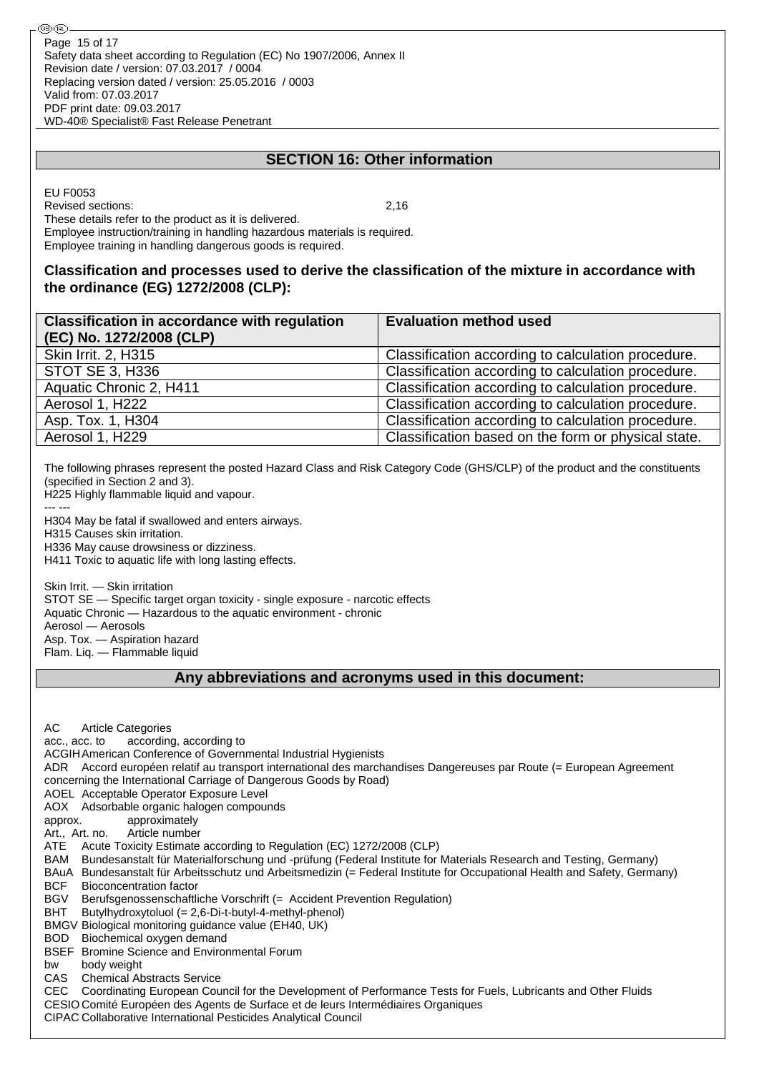## **SECTION 16: Other information**

EU F0053 Revised sections: 2,16 These details refer to the product as it is delivered. Employee instruction/training in handling hazardous materials is required. Employee training in handling dangerous goods is required.

### **Classification and processes used to derive the classification of the mixture in accordance with the ordinance (EG) 1272/2008 (CLP):**

| <b>Classification in accordance with regulation</b><br>(EC) No. 1272/2008 (CLP) | <b>Evaluation method used</b>                       |
|---------------------------------------------------------------------------------|-----------------------------------------------------|
| Skin Irrit. 2, H315                                                             | Classification according to calculation procedure.  |
| STOT SE 3, H336                                                                 | Classification according to calculation procedure.  |
| Aquatic Chronic 2, H411                                                         | Classification according to calculation procedure.  |
| Aerosol 1, H222                                                                 | Classification according to calculation procedure.  |
| Asp. Tox. 1, H304                                                               | Classification according to calculation procedure.  |
| Aerosol 1, H229                                                                 | Classification based on the form or physical state. |

The following phrases represent the posted Hazard Class and Risk Category Code (GHS/CLP) of the product and the constituents (specified in Section 2 and 3).

H225 Highly flammable liquid and vapour. --- ---

H304 May be fatal if swallowed and enters airways.

H315 Causes skin irritation.

H336 May cause drowsiness or dizziness.

H411 Toxic to aquatic life with long lasting effects.

Skin Irrit. — Skin irritation STOT SE — Specific target organ toxicity - single exposure - narcotic effects Aquatic Chronic — Hazardous to the aquatic environment - chronic Aerosol — Aerosols Asp. Tox. — Aspiration hazard

Flam. Liq. — Flammable liquid

#### **Any abbreviations and acronyms used in this document:**

AC Article Categories acc., acc. to according, according to ACGIHAmerican Conference of Governmental Industrial Hygienists ADR Accord européen relatif au transport international des marchandises Dangereuses par Route (= European Agreement concerning the International Carriage of Dangerous Goods by Road) AOEL Acceptable Operator Exposure Level AOX Adsorbable organic halogen compounds approx. approximately Art., Art. no. Article number ATE Acute Toxicity Estimate according to Regulation (EC) 1272/2008 (CLP) BAM Bundesanstalt für Materialforschung und -prüfung (Federal Institute for Materials Research and Testing, Germany) BAuA Bundesanstalt für Arbeitsschutz und Arbeitsmedizin (= Federal Institute for Occupational Health and Safety, Germany) BCF Bioconcentration factor BGV Berufsgenossenschaftliche Vorschrift (= Accident Prevention Regulation) BHT Butylhydroxytoluol (= 2,6-Di-t-butyl-4-methyl-phenol) BMGV Biological monitoring guidance value (EH40, UK) BOD Biochemical oxygen demand BSEF Bromine Science and Environmental Forum bw body weight CAS Chemical Abstracts Service CEC Coordinating European Council for the Development of Performance Tests for Fuels, Lubricants and Other Fluids CESIO Comité Européen des Agents de Surface et de leurs Intermédiaires Organiques CIPAC Collaborative International Pesticides Analytical Council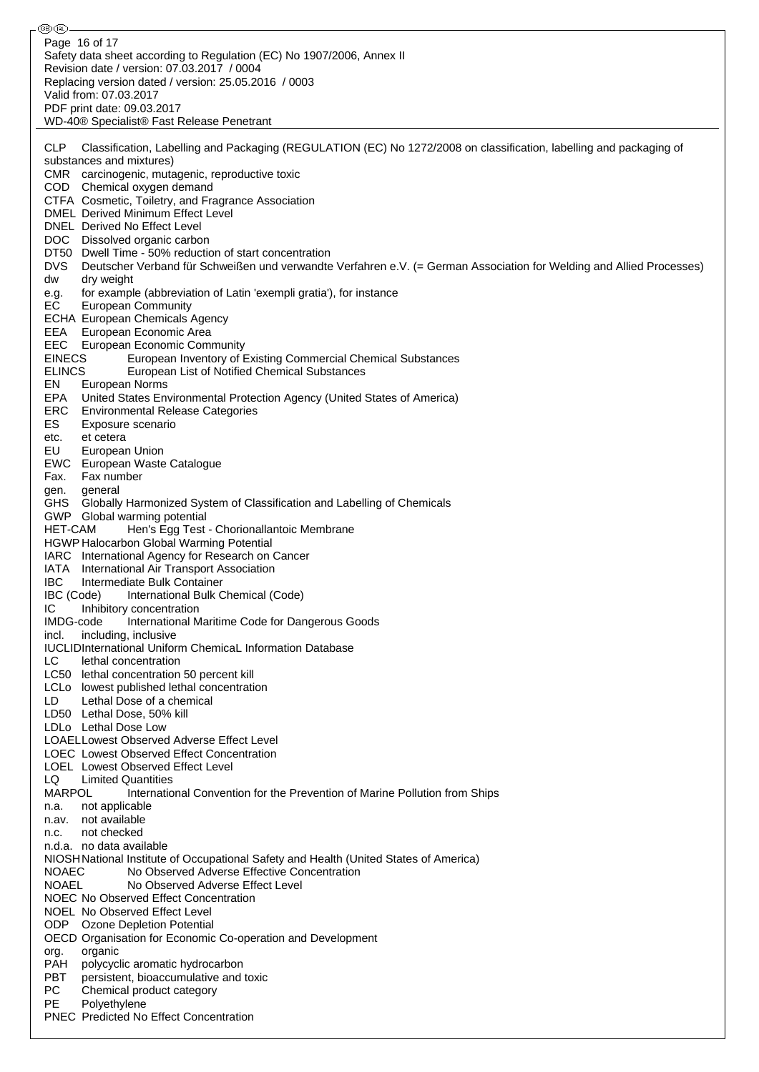⊛® Page 16 of 17Safety data sheet according to Regulation (EC) No 1907/2006, Annex II Revision date / version: 07.03.2017 / 0004 Replacing version dated / version: 25.05.2016 / 0003 Valid from: 07.03.2017 PDF print date: 09.03.2017 WD-40® Specialist® Fast Release Penetrant CLP Classification, Labelling and Packaging (REGULATION (EC) No 1272/2008 on classification, labelling and packaging of substances and mixtures) CMR carcinogenic, mutagenic, reproductive toxic COD Chemical oxygen demand CTFA Cosmetic, Toiletry, and Fragrance Association DMEL Derived Minimum Effect Level DNEL Derived No Effect Level DOC Dissolved organic carbon DT50 Dwell Time - 50% reduction of start concentration DVS Deutscher Verband für Schweißen und verwandte Verfahren e.V. (= German Association for Welding and Allied Processes)<br>dw drv weight dw dry weight<br>e.g. for exampl<br>EC European for example (abbreviation of Latin 'exempli gratia'), for instance **European Community** ECHA European Chemicals Agency EEA European Economic Area EEC European Economic Community EINECS European Inventory of Existing Commercial Chemical Substances<br>ELINCS European List of Notified Chemical Substances European List of Notified Chemical Substances EN European Norms EPA United States Environmental Protection Agency (United States of America) ERC Environmental Release Categories ES Exposure scenario etc. et cetera EU European Union EWC European Waste Catalogue Fax. Fax number gen. general GHS Globally Harmonized System of Classification and Labelling of Chemicals GWP Global warming potential HET-CAM Hen's Egg Test - Chorionallantoic Membrane HGWP Halocarbon Global Warming Potential IARC International Agency for Research on Cancer IATA International Air Transport Association IBC Intermediate Bulk Container IBC (Code) International Bulk Chemical (Code) IC Inhibitory concentration IMDG-code International Maritime Code for Dangerous Goods incl. including, inclusive IUCLIDInternational Uniform ChemicaL Information Database LC lethal concentration LC50 lethal concentration 50 percent kill LCLo lowest published lethal concentration LD Lethal Dose of a chemical LD50 Lethal Dose, 50% kill LDLo Lethal Dose Low LOAELLowest Observed Adverse Effect Level LOEC Lowest Observed Effect Concentration LOEL Lowest Observed Effect Level LQ Limited Quantities MARPOL International Convention for the Prevention of Marine Pollution from Ships n.a. not applicable n.av. not available n.c. not checked n.d.a. no data available NIOSHNational Institute of Occupational Safety and Health (United States of America) NOAEC No Observed Adverse Effective Concentration NOAEL No Observed Adverse Effect Level NOEC No Observed Effect Concentration NOEL No Observed Effect Level ODP Ozone Depletion Potential OECD Organisation for Economic Co-operation and Development org. organic PAH polycyclic aromatic hydrocarbon PBT persistent, bioaccumulative and toxic PC Chemical product category PE Polyethylene PNEC Predicted No Effect Concentration